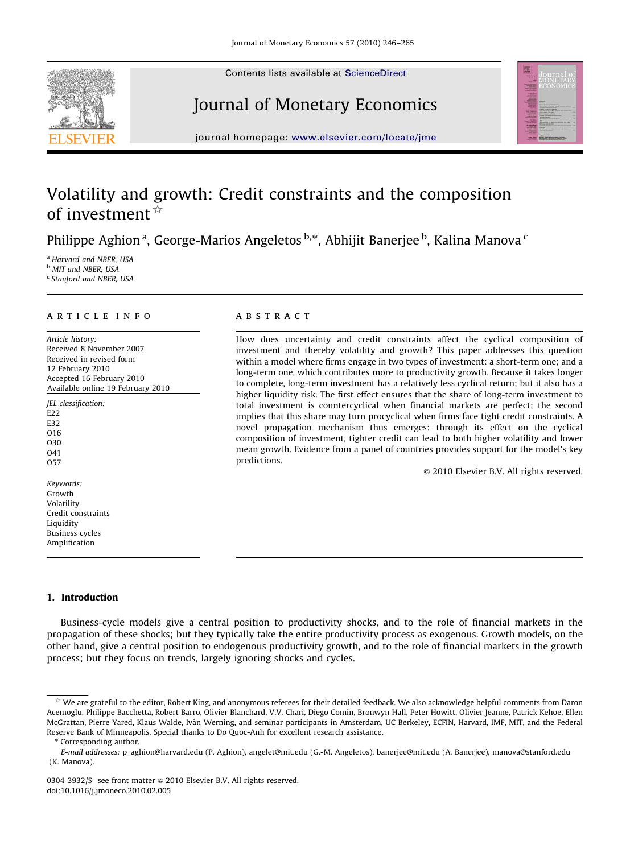Contents lists available at ScienceDirect







journal homepage: <www.elsevier.com/locate/jme>

# Volatility and growth: Credit constraints and the composition of investment  $\overrightarrow{x}$

Philippe Aghion <sup>a</sup>, George-Marios Angeletos <sup>b,\*</sup>, Abhijit Banerjee <sup>b</sup>, Kalina Manova <sup>c</sup>

<sup>a</sup> Harvard and NBER, USA **b** MIT and NBER, USA <sup>c</sup> Stanford and NBER, USA

## article info

Article history: Received 8 November 2007 Received in revised form 12 February 2010 Accepted 16 February 2010 Available online 19 February 2010

JEL classification:  $F22$ E32 O16 O30 O41 O57

Keywords: Growth Volatility Credit constraints Liquidity Business cycles Amplification

# **ABSTRACT**

How does uncertainty and credit constraints affect the cyclical composition of investment and thereby volatility and growth? This paper addresses this question within a model where firms engage in two types of investment: a short-term one; and a long-term one, which contributes more to productivity growth. Because it takes longer to complete, long-term investment has a relatively less cyclical return; but it also has a higher liquidity risk. The first effect ensures that the share of long-term investment to total investment is countercyclical when financial markets are perfect; the second implies that this share may turn procyclical when firms face tight credit constraints. A novel propagation mechanism thus emerges: through its effect on the cyclical composition of investment, tighter credit can lead to both higher volatility and lower mean growth. Evidence from a panel of countries provides support for the model's key predictions.

 $\odot$  2010 Elsevier B.V. All rights reserved.

# 1. Introduction

Business-cycle models give a central position to productivity shocks, and to the role of financial markets in the propagation of these shocks; but they typically take the entire productivity process as exogenous. Growth models, on the other hand, give a central position to endogenous productivity growth, and to the role of financial markets in the growth process; but they focus on trends, largely ignoring shocks and cycles.

Corresponding author.

 $*$  We are grateful to the editor, Robert King, and anonymous referees for their detailed feedback. We also acknowledge helpful comments from Daron Acemoglu, Philippe Bacchetta, Robert Barro, Olivier Blanchard, V.V. Chari, Diego Comin, Bronwyn Hall, Peter Howitt, Olivier Jeanne, Patrick Kehoe, Ellen McGrattan, Pierre Yared, Klaus Walde, Iván Werning, and seminar participants in Amsterdam, UC Berkeley, ECFIN, Harvard, IMF, MIT, and the Federal Reserve Bank of Minneapolis. Special thanks to Do Quoc-Anh for excellent research assistance. -

E-mail addresses: [p\\_aghion@harvard.edu \(P. Aghion\),](mailto:p_aghion@harvard.edu) [angelet@mit.edu \(G.-M. Angeletos\),](mailto:angelet@mit.edu) [banerjee@mit.edu \(A. Banerjee\),](mailto:banerjee@mit.edu) [manova@stanford.edu](mailto:manova@stanford.edu) [\(K. Manova\)](mailto:manova@stanford.edu).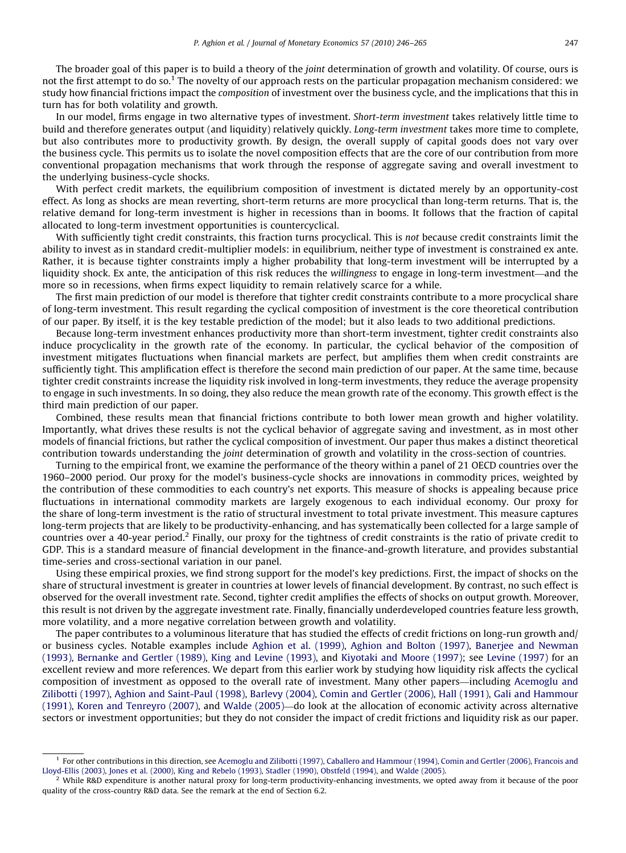The broader goal of this paper is to build a theory of the *joint* determination of growth and volatility. Of course, ours is not the first attempt to do so.<sup>1</sup> The novelty of our approach rests on the particular propagation mechanism considered: we study how financial frictions impact the composition of investment over the business cycle, and the implications that this in turn has for both volatility and growth.

In our model, firms engage in two alternative types of investment. Short-term investment takes relatively little time to build and therefore generates output (and liquidity) relatively quickly. Long-term investment takes more time to complete, but also contributes more to productivity growth. By design, the overall supply of capital goods does not vary over the business cycle. This permits us to isolate the novel composition effects that are the core of our contribution from more conventional propagation mechanisms that work through the response of aggregate saving and overall investment to the underlying business-cycle shocks.

With perfect credit markets, the equilibrium composition of investment is dictated merely by an opportunity-cost effect. As long as shocks are mean reverting, short-term returns are more procyclical than long-term returns. That is, the relative demand for long-term investment is higher in recessions than in booms. It follows that the fraction of capital allocated to long-term investment opportunities is countercyclical.

With sufficiently tight credit constraints, this fraction turns procyclical. This is not because credit constraints limit the ability to invest as in standard credit-multiplier models: in equilibrium, neither type of investment is constrained ex ante. Rather, it is because tighter constraints imply a higher probability that long-term investment will be interrupted by a liquidity shock. Ex ante, the anticipation of this risk reduces the willingness to engage in long-term investment—and the more so in recessions, when firms expect liquidity to remain relatively scarce for a while.

The first main prediction of our model is therefore that tighter credit constraints contribute to a more procyclical share of long-term investment. This result regarding the cyclical composition of investment is the core theoretical contribution of our paper. By itself, it is the key testable prediction of the model; but it also leads to two additional predictions.

Because long-term investment enhances productivity more than short-term investment, tighter credit constraints also induce procyclicality in the growth rate of the economy. In particular, the cyclical behavior of the composition of investment mitigates fluctuations when financial markets are perfect, but amplifies them when credit constraints are sufficiently tight. This amplification effect is therefore the second main prediction of our paper. At the same time, because tighter credit constraints increase the liquidity risk involved in long-term investments, they reduce the average propensity to engage in such investments. In so doing, they also reduce the mean growth rate of the economy. This growth effect is the third main prediction of our paper.

Combined, these results mean that financial frictions contribute to both lower mean growth and higher volatility. Importantly, what drives these results is not the cyclical behavior of aggregate saving and investment, as in most other models of financial frictions, but rather the cyclical composition of investment. Our paper thus makes a distinct theoretical contribution towards understanding the joint determination of growth and volatility in the cross-section of countries.

Turning to the empirical front, we examine the performance of the theory within a panel of 21 OECD countries over the 1960–2000 period. Our proxy for the model's business-cycle shocks are innovations in commodity prices, weighted by the contribution of these commodities to each country's net exports. This measure of shocks is appealing because price fluctuations in international commodity markets are largely exogenous to each individual economy. Our proxy for the share of long-term investment is the ratio of structural investment to total private investment. This measure captures long-term projects that are likely to be productivity-enhancing, and has systematically been collected for a large sample of countries over a 40-year period.2 Finally, our proxy for the tightness of credit constraints is the ratio of private credit to GDP. This is a standard measure of financial development in the finance-and-growth literature, and provides substantial time-series and cross-sectional variation in our panel.

Using these empirical proxies, we find strong support for the model's key predictions. First, the impact of shocks on the share of structural investment is greater in countries at lower levels of financial development. By contrast, no such effect is observed for the overall investment rate. Second, tighter credit amplifies the effects of shocks on output growth. Moreover, this result is not driven by the aggregate investment rate. Finally, financially underdeveloped countries feature less growth, more volatility, and a more negative correlation between growth and volatility.

The paper contributes to a voluminous literature that has studied the effects of credit frictions on long-run growth and/ or business cycles. Notable examples include [Aghion et al. \(1999\),](#page-19-0) [Aghion and Bolton \(1997\)](#page-19-0), [Banerjee and Newman](#page-19-0) [\(1993\)](#page-19-0), [Bernanke and Gertler \(1989\),](#page-19-0) [King and Levine \(1993\),](#page-19-0) and [Kiyotaki and Moore \(1997\)](#page-19-0); see [Levine \(1997\)](#page-19-0) for an excellent review and more references. We depart from this earlier work by studying how liquidity risk affects the cyclical composition of investment as opposed to the overall rate of investment. Many other papers—including [Acemoglu and](#page-18-0) [Zilibotti \(1997\)](#page-18-0), [Aghion and Saint-Paul \(1998\)](#page-19-0), [Barlevy \(2004\),](#page-19-0) [Comin and Gertler \(2006\)](#page-19-0), [Hall \(1991\)](#page-19-0), [Gali and Hammour](#page-19-0) [\(1991\)](#page-19-0), [Koren and Tenreyro \(2007\)](#page-19-0), and [Walde \(2005\)](#page-19-0)—do look at the allocation of economic activity across alternative sectors or investment opportunities; but they do not consider the impact of credit frictions and liquidity risk as our paper.

<sup>&</sup>lt;sup>1</sup> For other contributions in this direction, see [Acemoglu and Zilibotti \(1997\)](#page-18-0), [Caballero and Hammour \(1994\),](#page-19-0) [Comin and Gertler \(2006\),](#page-19-0) [Francois and](#page-19-0) [Lloyd-Ellis \(2003\)](#page-19-0), [Jones et al. \(2000\)](#page-19-0), [King and Rebelo \(1993\),](#page-19-0) [Stadler \(1990\)](#page-19-0), [Obstfeld \(1994\)](#page-19-0), and [Walde \(2005\).](#page-19-0)

 $^2$  While R&D expenditure is another natural proxy for long-term productivity-enhancing investments, we opted away from it because of the poor quality of the cross-country R&D data. See the remark at the end of Section 6.2.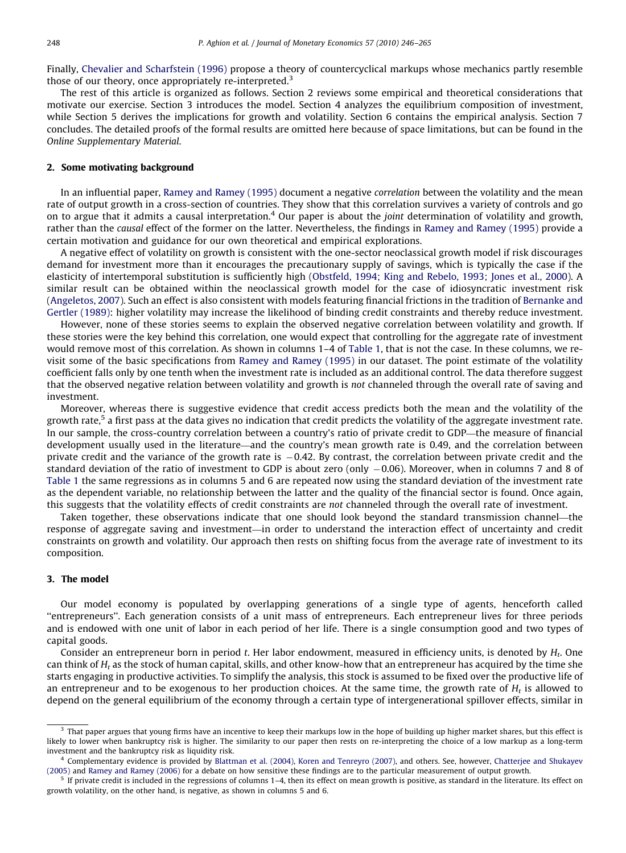Finally, [Chevalier and Scharfstein \(1996\)](#page-19-0) propose a theory of countercyclical markups whose mechanics partly resemble those of our theory, once appropriately re-interpreted.<sup>3</sup>

The rest of this article is organized as follows. Section 2 reviews some empirical and theoretical considerations that motivate our exercise. Section 3 introduces the model. Section 4 analyzes the equilibrium composition of investment, while Section 5 derives the implications for growth and volatility. Section 6 contains the empirical analysis. Section 7 concludes. The detailed proofs of the formal results are omitted here because of space limitations, but can be found in the Online Supplementary Material.

## 2. Some motivating background

In an influential paper, [Ramey and Ramey \(1995\)](#page-19-0) document a negative correlation between the volatility and the mean rate of output growth in a cross-section of countries. They show that this correlation survives a variety of controls and go on to argue that it admits a causal interpretation.4 Our paper is about the joint determination of volatility and growth, rather than the causal effect of the former on the latter. Nevertheless, the findings in [Ramey and Ramey \(1995\)](#page-19-0) provide a certain motivation and guidance for our own theoretical and empirical explorations.

A negative effect of volatility on growth is consistent with the one-sector neoclassical growth model if risk discourages demand for investment more than it encourages the precautionary supply of savings, which is typically the case if the elasticity of intertemporal substitution is sufficiently high ([Obstfeld, 1994; King and Rebelo, 1993; Jones et al., 2000\)](#page-19-0). A similar result can be obtained within the neoclassical growth model for the case of idiosyncratic investment risk ([Angeletos, 2007](#page-19-0)). Such an effect is also consistent with models featuring financial frictions in the tradition of [Bernanke and](#page-19-0) [Gertler \(1989\):](#page-19-0) higher volatility may increase the likelihood of binding credit constraints and thereby reduce investment.

However, none of these stories seems to explain the observed negative correlation between volatility and growth. If these stories were the key behind this correlation, one would expect that controlling for the aggregate rate of investment would remove most of this correlation. As shown in columns 1–4 of Table 1, that is not the case. In these columns, we revisit some of the basic specifications from [Ramey and Ramey \(1995\)](#page-19-0) in our dataset. The point estimate of the volatility coefficient falls only by one tenth when the investment rate is included as an additional control. The data therefore suggest that the observed negative relation between volatility and growth is not channeled through the overall rate of saving and investment.

Moreover, whereas there is suggestive evidence that credit access predicts both the mean and the volatility of the growth rate,<sup>5</sup> a first pass at the data gives no indication that credit predicts the volatility of the aggregate investment rate. In our sample, the cross-country correlation between a country's ratio of private credit to GDP—the measure of financial development usually used in the literature—and the country's mean growth rate is 0.49, and the correlation between private credit and the variance of the growth rate is  $-0.42$ . By contrast, the correlation between private credit and the standard deviation of the ratio of investment to GDP is about zero (only  $-0.06$ ). Moreover, when in columns 7 and 8 of Table 1 the same regressions as in columns 5 and 6 are repeated now using the standard deviation of the investment rate as the dependent variable, no relationship between the latter and the quality of the financial sector is found. Once again, this suggests that the volatility effects of credit constraints are not channeled through the overall rate of investment.

Taken together, these observations indicate that one should look beyond the standard transmission channel—the response of aggregate saving and investment—in order to understand the interaction effect of uncertainty and credit constraints on growth and volatility. Our approach then rests on shifting focus from the average rate of investment to its composition.

#### 3. The model

Our model economy is populated by overlapping generations of a single type of agents, henceforth called ''entrepreneurs''. Each generation consists of a unit mass of entrepreneurs. Each entrepreneur lives for three periods and is endowed with one unit of labor in each period of her life. There is a single consumption good and two types of capital goods.

Consider an entrepreneur born in period t. Her labor endowment, measured in efficiency units, is denoted by  $H<sub>r</sub>$ . One can think of  $H_t$  as the stock of human capital, skills, and other know-how that an entrepreneur has acquired by the time she starts engaging in productive activities. To simplify the analysis, this stock is assumed to be fixed over the productive life of an entrepreneur and to be exogenous to her production choices. At the same time, the growth rate of  $H_t$  is allowed to depend on the general equilibrium of the economy through a certain type of intergenerational spillover effects, similar in

 $3$  That paper argues that young firms have an incentive to keep their markups low in the hope of building up higher market shares, but this effect is likely to lower when bankruptcy risk is higher. The similarity to our paper then rests on re-interpreting the choice of a low markup as a long-term investment and the bankruptcy risk as liquidity risk.

<sup>4</sup> Complementary evidence is provided by [Blattman et al. \(2004\),](#page-19-0) [Koren and Tenreyro \(2007\)](#page-19-0), and others. See, however, [Chatterjee and Shukayev](#page-19-0) [\(2005\)](#page-19-0) and [Ramey and Ramey \(2006\)](#page-19-0) for a debate on how sensitive these findings are to the particular measurement of output growth.

 $5$  If private credit is included in the regressions of columns 1–4, then its effect on mean growth is positive, as standard in the literature. Its effect on growth volatility, on the other hand, is negative, as shown in columns 5 and 6.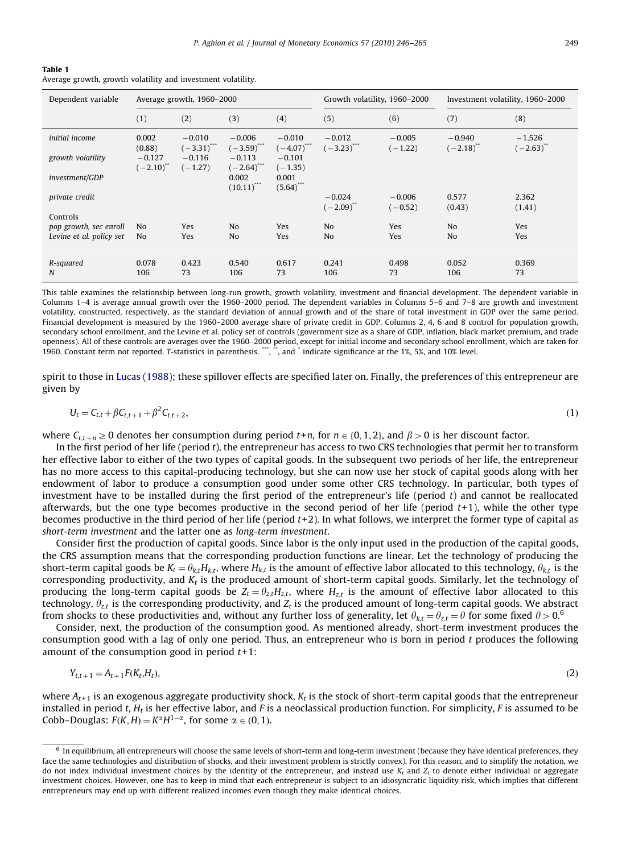Average growth, growth volatility and investment volatility.

| Dependent variable       |                            | Average growth, 1960-2000            |                                      |                                  | Growth volatility, 1960-2000 |                       | Investment volatility, 1960-2000    |                           |
|--------------------------|----------------------------|--------------------------------------|--------------------------------------|----------------------------------|------------------------------|-----------------------|-------------------------------------|---------------------------|
|                          | (1)                        | (2)                                  | (3)                                  | (4)                              | (5)                          | (6)                   | (7)                                 | (8)                       |
| initial income           | 0.002<br>(0.88)            | $-0.010$<br>$(-3.31)$ <sup>***</sup> | $-0.006$<br>$(-3.59)$ <sup>***</sup> | $-0.010$<br>$(-4.07)^{***}$      | $-0.012$<br>$(-3.23)$ ***    | $-0.005$<br>$(-1.22)$ | $-0.940$<br>$(-2.18)$ <sup>**</sup> | $-1.526$<br>$(-2.63)^{4}$ |
| growth volatility        | $-0.127$<br>$(-2.10)^{11}$ | $-0.116$<br>$(-1.27)$                | $-0.113$<br>$(-2.64)$ <sup>***</sup> | $-0.101$<br>$(-1.35)$            |                              |                       |                                     |                           |
| investment/GDP           |                            |                                      | 0.002<br>$(10.11)^{***}$             | 0.001<br>$(5.64)$ <sup>***</sup> |                              |                       |                                     |                           |
| private credit           |                            |                                      |                                      |                                  | $-0.024$<br>$(-2.09)^{**}$   | $-0.006$<br>$(-0.52)$ | 0.577<br>(0.43)                     | 2.362<br>(1.41)           |
| Controls                 |                            |                                      |                                      |                                  |                              |                       |                                     |                           |
| pop growth, sec enroll   | No                         | Yes                                  | N <sub>0</sub>                       | <b>Yes</b>                       | N <sub>0</sub>               | Yes                   | N <sub>0</sub>                      | Yes                       |
| Levine et al. policy set | N <sub>0</sub>             | Yes                                  | N <sub>o</sub>                       | Yes                              | N <sub>0</sub>               | Yes                   | N <sub>0</sub>                      | Yes                       |
| R-squared<br>N           | 0.078<br>106               | 0.423<br>73                          | 0.540<br>106                         | 0.617<br>73                      | 0.241<br>106                 | 0.498<br>73           | 0.052<br>106                        | 0.369<br>73               |

This table examines the relationship between long-run growth, growth volatility, investment and financial development. The dependent variable in Columns 1–4 is average annual growth over the 1960–2000 period. The dependent variables in Columns 5–6 and 7–8 are growth and investment volatility, constructed, respectively, as the standard deviation of annual growth and of the share of total investment in GDP over the same period. Financial development is measured by the 1960–2000 average share of private credit in GDP. Columns 2, 4, 6 and 8 control for population growth, secondary school enrollment, and the Levine et al. policy set of controls (government size as a share of GDP, inflation, black market premium, and trade openness). All of these controls are averages over the 1960–2000 period, except for initial income and secondary school enrollment, which are taken for 1960. Constant term not reported. T-statistics in parenthesis. "", ", and \* indicate significance at the 1%, 5%, and 10% level.

spirit to those in [Lucas \(1988\);](#page-19-0) these spillover effects are specified later on. Finally, the preferences of this entrepreneur are given by

$$
U_t = C_{t,t} + \beta C_{t,t+1} + \beta^2 C_{t,t+2},
$$
\n(1)

where  $C_{t,t+n} \ge 0$  denotes her consumption during period  $t+n$ , for  $n \in \{0, 1, 2\}$ , and  $\beta > 0$  is her discount factor.

In the first period of her life (period t), the entrepreneur has access to two CRS technologies that permit her to transform her effective labor to either of the two types of capital goods. In the subsequent two periods of her life, the entrepreneur has no more access to this capital-producing technology, but she can now use her stock of capital goods along with her endowment of labor to produce a consumption good under some other CRS technology. In particular, both types of investment have to be installed during the first period of the entrepreneur's life (period  $t$ ) and cannot be reallocated afterwards, but the one type becomes productive in the second period of her life (period  $t+1$ ), while the other type becomes productive in the third period of her life (period  $t+2$ ). In what follows, we interpret the former type of capital as short-term investment and the latter one as long-term investment.

Consider first the production of capital goods. Since labor is the only input used in the production of the capital goods, the CRS assumption means that the corresponding production functions are linear. Let the technology of producing the short-term capital goods be  $K_t = \theta_{k,t} H_{k,t}$ , where  $H_{k,t}$  is the amount of effective labor allocated to this technology,  $\theta_{k,t}$  is the corresponding productivity, and  $K_t$  is the produced amount of short-term capital goods. Similarly, let the technology of producing the long-term capital goods be  $Z_t = \theta_{z,t}H_{z,t}$ , where  $H_{z,t}$  is the amount of effective labor allocated to this technology,  $\theta_{zt}$  is the corresponding productivity, and  $Z_t$  is the produced amount of long-term capital goods. We abstract from shocks to these productivities and, without any further loss of generality, let  $\theta_{kt} = \theta_{zt} = \theta$  for some fixed  $\theta > 0.6$ 

Consider, next, the production of the consumption good. As mentioned already, short-term investment produces the consumption good with a lag of only one period. Thus, an entrepreneur who is born in period t produces the following amount of the consumption good in period  $t+1$ :

$$
Y_{t,t+1} = A_{t+1} F(K_t, H_t),
$$
\n(2)

where  $A_{t+1}$  is an exogenous aggregate productivity shock,  $K_t$  is the stock of short-term capital goods that the entrepreneur installed in period t,  $H_t$  is her effective labor, and F is a neoclassical production function. For simplicity, F is assumed to be Cobb–Douglas:  $F(K, H) = K^{\alpha} H^{1-\alpha}$ , for some  $\alpha \in (0, 1)$ .

 $6\,$  In equilibrium, all entrepreneurs will choose the same levels of short-term and long-term investment (because they have identical preferences, they face the same technologies and distribution of shocks, and their investment problem is strictly convex). For this reason, and to simplify the notation, we do not index individual investment choices by the identity of the entrepreneur, and instead use  $K_t$  and  $Z_t$  to denote either individual or aggregate investment choices. However, one has to keep in mind that each entrepreneur is subject to an idiosyncratic liquidity risk, which implies that different entrepreneurs may end up with different realized incomes even though they make identical choices.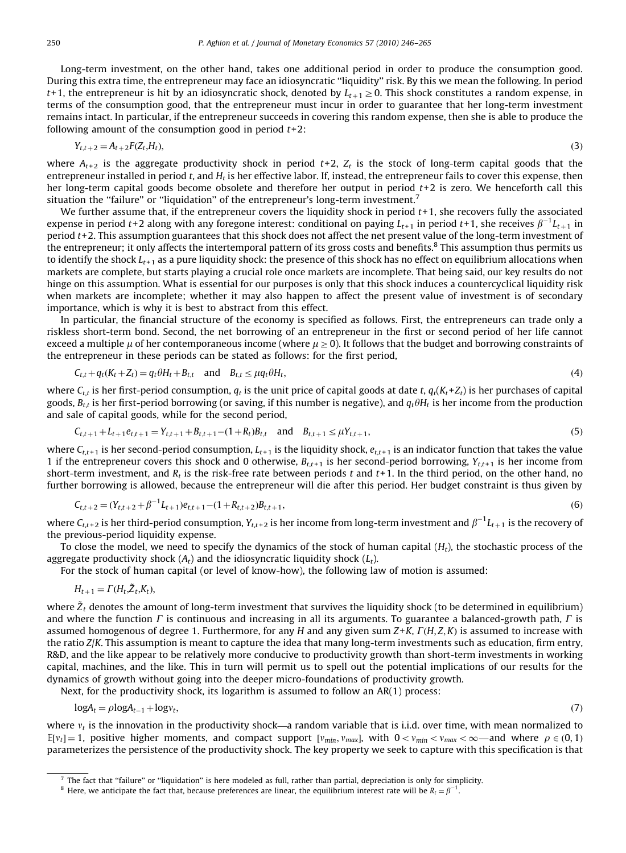Long-term investment, on the other hand, takes one additional period in order to produce the consumption good. During this extra time, the entrepreneur may face an idiosyncratic ''liquidity'' risk. By this we mean the following. In period t+1, the entrepreneur is hit by an idiosyncratic shock, denoted by  $L_{t+1} \ge 0$ . This shock constitutes a random expense, in terms of the consumption good, that the entrepreneur must incur in order to guarantee that her long-term investment remains intact. In particular, if the entrepreneur succeeds in covering this random expense, then she is able to produce the following amount of the consumption good in period  $t+2$ :

$$
Y_{t,t+2} = A_{t+2}F(Z_t, H_t),\tag{3}
$$

where  $A_{t+2}$  is the aggregate productivity shock in period  $t+2$ ,  $Z_t$  is the stock of long-term capital goods that the entrepreneur installed in period t, and  $H_t$  is her effective labor. If, instead, the entrepreneur fails to cover this expense, then her long-term capital goods become obsolete and therefore her output in period  $t+2$  is zero. We henceforth call this situation the "failure" or "liquidation" of the entrepreneur's long-term investment.<sup>7</sup>

We further assume that, if the entrepreneur covers the liquidity shock in period  $t+1$ , she recovers fully the associated expense in period t+2 along with any foregone interest: conditional on paying  $L_{t+1}$  in period t+1, she receives  $\beta^{-1}L_{t+1}$  in period t+2. This assumption guarantees that this shock does not affect the net present value of the long-term investment of the entrepreneur; it only affects the intertemporal pattern of its gross costs and benefits.<sup>8</sup> This assumption thus permits us to identify the shock  $L_{t+1}$  as a pure liquidity shock: the presence of this shock has no effect on equilibrium allocations when markets are complete, but starts playing a crucial role once markets are incomplete. That being said, our key results do not hinge on this assumption. What is essential for our purposes is only that this shock induces a countercyclical liquidity risk when markets are incomplete; whether it may also happen to affect the present value of investment is of secondary importance, which is why it is best to abstract from this effect.

In particular, the financial structure of the economy is specified as follows. First, the entrepreneurs can trade only a riskless short-term bond. Second, the net borrowing of an entrepreneur in the first or second period of her life cannot exceed a multiple  $\mu$  of her contemporaneous income (where  $\mu \ge 0$ ). It follows that the budget and borrowing constraints of the entrepreneur in these periods can be stated as follows: for the first period,

$$
C_{t,t} + q_t(K_t + Z_t) = q_t \theta H_t + B_{t,t} \quad \text{and} \quad B_{t,t} \leq \mu q_t \theta H_t,
$$
\n
$$
(4)
$$

where  $C_{t,t}$  is her first-period consumption,  $q_t$  is the unit price of capital goods at date t,  $q_t(K_t + Z_t)$  is her purchases of capital goods,  $B_{t,t}$  is her first-period borrowing (or saving, if this number is negative), and  $q_t\theta H_t$  is her income from the production and sale of capital goods, while for the second period,

$$
C_{t,t+1} + L_{t+1}e_{t,t+1} = Y_{t,t+1} + B_{t,t+1} - (1 + R_t)B_{t,t} \quad \text{and} \quad B_{t,t+1} \le \mu Y_{t,t+1},\tag{5}
$$

where  $C_{t,t+1}$  is her second-period consumption,  $L_{t+1}$  is the liquidity shock,  $e_{t,t+1}$  is an indicator function that takes the value 1 if the entrepreneur covers this shock and 0 otherwise,  $B_{t,t+1}$  is her second-period borrowing,  $Y_{t,t+1}$  is her income from short-term investment, and  $R_t$  is the risk-free rate between periods t and  $t+1$ . In the third period, on the other hand, no further borrowing is allowed, because the entrepreneur will die after this period. Her budget constraint is thus given by

$$
C_{t,t+2} = (Y_{t,t+2} + \beta^{-1} L_{t+1})e_{t,t+1} - (1 + R_{t,t+2})B_{t,t+1},
$$
\n(6)

where  $C_{t,t+2}$  is her third-period consumption,  $Y_{t,t+2}$  is her income from long-term investment and  $\beta^{-1}L_{t+1}$  is the recovery of the previous-period liquidity expense.

To close the model, we need to specify the dynamics of the stock of human capital  $(H_t)$ , the stochastic process of the aggregate productivity shock  $(A_t)$  and the idiosyncratic liquidity shock  $(L_t)$ .

For the stock of human capital (or level of know-how), the following law of motion is assumed:

$$
H_{t+1} = \Gamma(H_t, \tilde{Z}_t, K_t),
$$

where  $\tilde{Z}_t$  denotes the amount of long-term investment that survives the liquidity shock (to be determined in equilibrium) and where the function  $\Gamma$  is continuous and increasing in all its arguments. To guarantee a balanced-growth path,  $\Gamma$  is assumed homogenous of degree 1. Furthermore, for any H and any given sum  $Z+K$ ,  $\Gamma(H,Z,K)$  is assumed to increase with the ratio Z/K. This assumption is meant to capture the idea that many long-term investments such as education, firm entry, R&D, and the like appear to be relatively more conducive to productivity growth than short-term investments in working capital, machines, and the like. This in turn will permit us to spell out the potential implications of our results for the dynamics of growth without going into the deeper micro-foundations of productivity growth.

Next, for the productivity shock, its logarithm is assumed to follow an AR(1) process:

$$
\log A_t = \rho \log A_{t-1} + \log v_t,\tag{7}
$$

where  $v_t$  is the innovation in the productivity shock—a random variable that is i.i.d. over time, with mean normalized to  $\mathbb{E}[v_t]=1$ , positive higher moments, and compact support  $[v_{min}, v_{max}]$ , with  $0 < v_{min} < v_{max} < \infty$ —and where  $\rho \in (0,1)$ parameterizes the persistence of the productivity shock. The key property we seek to capture with this specification is that

 $^7$  The fact that "failure" or "liquidation" is here modeled as full, rather than partial, depreciation is only for simplicity.

<sup>&</sup>lt;sup>8</sup> Here, we anticipate the fact that, because preferences are linear, the equilibrium interest rate will be  $R_t = \beta^{-1}$ .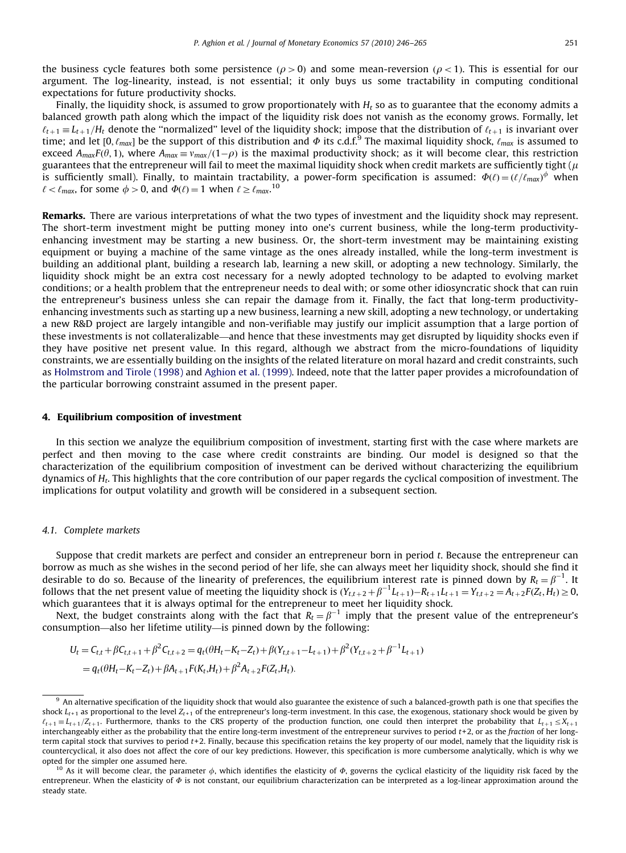the business cycle features both some persistence  $(\rho > 0)$  and some mean-reversion  $(\rho < 1)$ . This is essential for our argument. The log-linearity, instead, is not essential; it only buys us some tractability in computing conditional expectations for future productivity shocks.

Finally, the liquidity shock, is assumed to grow proportionately with  $H_t$  so as to guarantee that the economy admits a balanced growth path along which the impact of the liquidity risk does not vanish as the economy grows. Formally, let  $\ell_{t+1} = L_{t+1}/H_t$  denote the "normalized" level of the liquidity shock; impose that the distribution of  $\ell_{t+1}$  is invariant over time; and let [0,  $\ell_{max}$ ] be the support of this distribution and  $\Phi$  its c.d.f.<sup>5</sup> The maximal liquidity shock,  $\ell_{max}$  is assumed to exceed  $A_{max}F(\theta,1)$ , where  $A_{max} \equiv v_{max}/(1-\rho)$  is the maximal productivity shock; as it will become clear, this restriction guarantees that the entrepreneur will fail to meet the maximal liquidity shock when credit markets are sufficiently tight  $(\mu$ is sufficiently small). Finally, to maintain tractability, a power-form specification is assumed:  $\varPhi(\ell)\!=\!(\ell/\ell_{max})^\phi$  when  $\ell < \ell_{max}$ , for some  $\phi > 0$ , and  $\Phi(\ell) = 1$  when  $\ell \geq \ell_{max}$ .<sup>10</sup>

Remarks. There are various interpretations of what the two types of investment and the liquidity shock may represent. The short-term investment might be putting money into one's current business, while the long-term productivityenhancing investment may be starting a new business. Or, the short-term investment may be maintaining existing equipment or buying a machine of the same vintage as the ones already installed, while the long-term investment is building an additional plant, building a research lab, learning a new skill, or adopting a new technology. Similarly, the liquidity shock might be an extra cost necessary for a newly adopted technology to be adapted to evolving market conditions; or a health problem that the entrepreneur needs to deal with; or some other idiosyncratic shock that can ruin the entrepreneur's business unless she can repair the damage from it. Finally, the fact that long-term productivityenhancing investments such as starting up a new business, learning a new skill, adopting a new technology, or undertaking a new R&D project are largely intangible and non-verifiable may justify our implicit assumption that a large portion of these investments is not collateralizable—and hence that these investments may get disrupted by liquidity shocks even if they have positive net present value. In this regard, although we abstract from the micro-foundations of liquidity constraints, we are essentially building on the insights of the related literature on moral hazard and credit constraints, such as [Holmstrom and Tirole \(1998\)](#page-19-0) and [Aghion et al. \(1999\).](#page-19-0) Indeed, note that the latter paper provides a microfoundation of the particular borrowing constraint assumed in the present paper.

#### 4. Equilibrium composition of investment

In this section we analyze the equilibrium composition of investment, starting first with the case where markets are perfect and then moving to the case where credit constraints are binding. Our model is designed so that the characterization of the equilibrium composition of investment can be derived without characterizing the equilibrium dynamics of  $H_t$ . This highlights that the core contribution of our paper regards the cyclical composition of investment. The implications for output volatility and growth will be considered in a subsequent section.

#### 4.1. Complete markets

Suppose that credit markets are perfect and consider an entrepreneur born in period t. Because the entrepreneur can borrow as much as she wishes in the second period of her life, she can always meet her liquidity shock, should she find it desirable to do so. Because of the linearity of preferences, the equilibrium interest rate is pinned down by  $R_t=\beta^{-1}.$  It follows that the net present value of meeting the liquidity shock is  $(Y_{t,t+2}+\beta^{-1}L_{t+1})-R_{t+1}L_{t+1}=Y_{t,t+2}=A_{t+2}F(Z_t,H_t)\geq 0$ which guarantees that it is always optimal for the entrepreneur to meet her liquidity shock.

Next, the budget constraints along with the fact that  $R_t = \beta^{-1}$  imply that the present value of the entrepreneur's consumption—also her lifetime utility—is pinned down by the following:

$$
U_t = C_{t,t} + \beta C_{t,t+1} + \beta^2 C_{t,t+2} = q_t(\theta H_t - K_t - Z_t) + \beta (Y_{t,t+1} - L_{t+1}) + \beta^2 (Y_{t,t+2} + \beta^{-1} L_{t+1})
$$
  
=  $q_t(\theta H_t - K_t - Z_t) + \beta A_{t+1} F(K_t, H_t) + \beta^2 A_{t+2} F(Z_t, H_t).$ 

<sup>&</sup>lt;sup>9</sup> An alternative specification of the liquidity shock that would also guarantee the existence of such a balanced-growth path is one that specifies the shock  $L_{t+1}$  as proportional to the level  $Z_{t+1}$  of the entrepreneur's long-term investment. In this case, the exogenous, stationary shock would be given by  $\ell_{t+1} = L_{t+1}/Z_{t+1}$ . Furthermore, thanks to the CRS property of the production function, one could then interpret the probability that  $L_{t+1} \leq X_{t+1}$ interchangeably either as the probability that the entire long-term investment of the entrepreneur survives to period  $t+2$ , or as the fraction of her longterm capital stock that survives to period t+2. Finally, because this specification retains the key property of our model, namely that the liquidity risk is countercyclical, it also does not affect the core of our key predictions. However, this specification is more cumbersome analytically, which is why we opted for the simpler one assumed here.

<sup>&</sup>lt;sup>10</sup> As it will become clear, the parameter  $\phi$ , which identifies the elasticity of  $\Phi$ , governs the cyclical elasticity of the liquidity risk faced by the entrepreneur. When the elasticity of  $\Phi$  is not constant, our equilibrium characterization can be interpreted as a log-linear approximation around the steady state.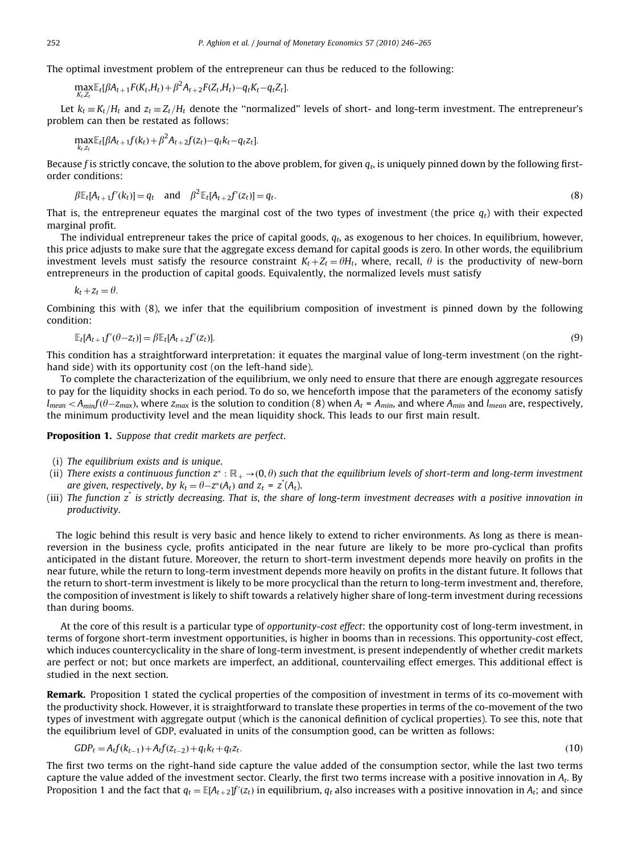The optimal investment problem of the entrepreneur can thus be reduced to the following:

$$
\max_{K_t, Z_t} \mathbb{E}_t[\beta A_{t+1} F(K_t, H_t) + \beta^2 A_{t+2} F(Z_t, H_t) - q_t K_t - q_t Z_t].
$$

Let  $k_t = K_t/H_t$  and  $z_t = Z_t/H_t$  denote the "normalized" levels of short- and long-term investment. The entrepreneur's problem can then be restated as follows:

$$
\max_{k_t,z_t} \mathbb{E}_t[\beta A_{t+1}f(k_t) + \beta^2 A_{t+2}f(z_t) - q_t k_t - q_t z_t].
$$

Because f is strictly concave, the solution to the above problem, for given  $q_t$ , is uniquely pinned down by the following firstorder conditions:

$$
\beta \mathbb{E}_{t}[A_{t+1}f'(k_{t})] = q_{t} \quad \text{and} \quad \beta^{2} \mathbb{E}_{t}[A_{t+2}f'(z_{t})] = q_{t}.
$$
\n(8)

That is, the entrepreneur equates the marginal cost of the two types of investment (the price  $q_t$ ) with their expected marginal profit.

The individual entrepreneur takes the price of capital goods,  $q<sub>t</sub>$ , as exogenous to her choices. In equilibrium, however, this price adjusts to make sure that the aggregate excess demand for capital goods is zero. In other words, the equilibrium investment levels must satisfy the resource constraint  $K_t + Z_t = \theta H_t$ , where, recall,  $\theta$  is the productivity of new-born entrepreneurs in the production of capital goods. Equivalently, the normalized levels must satisfy

 $k_t + z_t = \theta$ .

Combining this with (8), we infer that the equilibrium composition of investment is pinned down by the following condition:

$$
\mathbb{E}_t[A_{t+1}f'(\theta - z_t)] = \beta \mathbb{E}_t[A_{t+2}f'(z_t)].\tag{9}
$$

This condition has a straightforward interpretation: it equates the marginal value of long-term investment (on the righthand side) with its opportunity cost (on the left-hand side).

To complete the characterization of the equilibrium, we only need to ensure that there are enough aggregate resources to pay for the liquidity shocks in each period. To do so, we henceforth impose that the parameters of the economy satisfy  $l_{mean} < A_{min}$ f $(\theta - z_{max})$ , where  $z_{max}$  is the solution to condition (8) when  $A_t$  =  $A_{min}$ , and where  $A_{min}$  and  $l_{mean}$  are, respectively, the minimum productivity level and the mean liquidity shock. This leads to our first main result.

Proposition 1. Suppose that credit markets are perfect.

- (i) The equilibrium exists and is unique.
- (ii) There exists a continuous function  $z^*: \mathbb{R}_+ \to (0, \theta)$  such that the equilibrium levels of short-term and long-term investment are given, respectively, by  $k_t = \theta - z^*(A_t)$  and  $z_t = z^*(A_t)$ .
- (iii) The function z\* is strictly decreasing. That is, the share of long-term investment decreases with a positive innovation in productivity.

The logic behind this result is very basic and hence likely to extend to richer environments. As long as there is meanreversion in the business cycle, profits anticipated in the near future are likely to be more pro-cyclical than profits anticipated in the distant future. Moreover, the return to short-term investment depends more heavily on profits in the near future, while the return to long-term investment depends more heavily on profits in the distant future. It follows that the return to short-term investment is likely to be more procyclical than the return to long-term investment and, therefore, the composition of investment is likely to shift towards a relatively higher share of long-term investment during recessions than during booms.

At the core of this result is a particular type of opportunity-cost effect: the opportunity cost of long-term investment, in terms of forgone short-term investment opportunities, is higher in booms than in recessions. This opportunity-cost effect, which induces countercyclicality in the share of long-term investment, is present independently of whether credit markets are perfect or not; but once markets are imperfect, an additional, countervailing effect emerges. This additional effect is studied in the next section.

Remark. Proposition 1 stated the cyclical properties of the composition of investment in terms of its co-movement with the productivity shock. However, it is straightforward to translate these properties in terms of the co-movement of the two types of investment with aggregate output (which is the canonical definition of cyclical properties). To see this, note that the equilibrium level of GDP, evaluated in units of the consumption good, can be written as follows:

$$
GDP_t = A_t f(k_{t-1}) + A_t f(z_{t-2}) + q_t k_t + q_t z_t.
$$
\n(10)

The first two terms on the right-hand side capture the value added of the consumption sector, while the last two terms capture the value added of the investment sector. Clearly, the first two terms increase with a positive innovation in  $A_t$ . By Proposition 1 and the fact that  $q_t = \mathbb{E}[A_{t+2}]f'(z_t)$  in equilibrium,  $q_t$  also increases with a positive innovation in  $A_t$ ; and since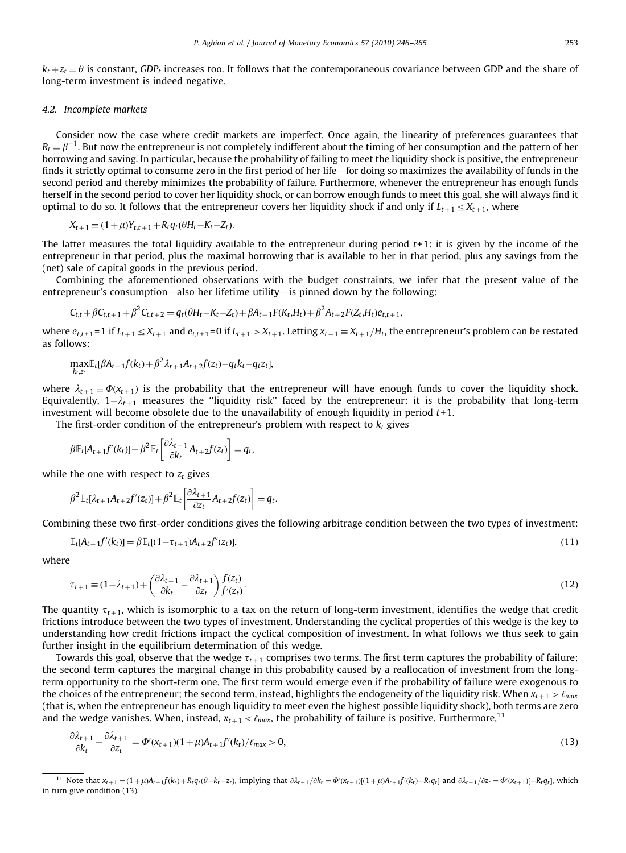$k_t + z_t = \theta$  is constant, GDP<sub>t</sub> increases too. It follows that the contemporaneous covariance between GDP and the share of long-term investment is indeed negative.

#### 4.2. Incomplete markets

Consider now the case where credit markets are imperfect. Once again, the linearity of preferences guarantees that  $R_t=\beta^{-1}.$  But now the entrepreneur is not completely indifferent about the timing of her consumption and the pattern of her borrowing and saving. In particular, because the probability of failing to meet the liquidity shock is positive, the entrepreneur finds it strictly optimal to consume zero in the first period of her life—for doing so maximizes the availability of funds in the second period and thereby minimizes the probability of failure. Furthermore, whenever the entrepreneur has enough funds herself in the second period to cover her liquidity shock, or can borrow enough funds to meet this goal, she will always find it optimal to do so. It follows that the entrepreneur covers her liquidity shock if and only if  $L_{t+1} \leq X_{t+1}$ , where

$$
X_{t+1} = (1+\mu)Y_{t,t+1} + R_t q_t (\theta H_t - K_t - Z_t).
$$

The latter measures the total liquidity available to the entrepreneur during period  $t+1$ : it is given by the income of the entrepreneur in that period, plus the maximal borrowing that is available to her in that period, plus any savings from the (net) sale of capital goods in the previous period.

Combining the aforementioned observations with the budget constraints, we infer that the present value of the entrepreneur's consumption—also her lifetime utility—is pinned down by the following:

$$
C_{t,t} + \beta C_{t,t+1} + \beta^2 C_{t,t+2} = q_t(\theta H_t - K_t - Z_t) + \beta A_{t+1} F(K_t, H_t) + \beta^2 A_{t+2} F(Z_t, H_t) e_{t,t+1},
$$

where  $e_{t,t+1} = 1$  if  $L_{t+1} \leq X_{t+1}$  and  $e_{t,t+1} = 0$  if  $L_{t+1} > X_{t+1}$ . Letting  $x_{t+1} \equiv X_{t+1}/H_t$ , the entrepreneur's problem can be restated as follows:

$$
\max_{k_t,z_t} \mathbb{E}_t[\beta A_{t+1}f(k_t) + \beta^2 \lambda_{t+1}A_{t+2}f(z_t) - q_t k_t - q_t z_t],
$$

where  $\lambda_{t+1} = \Phi(x_{t+1})$  is the probability that the entrepreneur will have enough funds to cover the liquidity shock. Equivalently,  $1-\lambda_{t+1}$  measures the "liquidity risk" faced by the entrepreneur: it is the probability that long-term investment will become obsolete due to the unavailability of enough liquidity in period  $t+1$ .

The first-order condition of the entrepreneur's problem with respect to  $k_t$  gives

$$
\beta \mathbb{E}_t[A_{t+1}f'(k_t)] + \beta^2 \mathbb{E}_t \left[ \frac{\partial \lambda_{t+1}}{\partial k_t} A_{t+2}f(z_t) \right] = q_t,
$$

while the one with respect to  $z_t$  gives

$$
\beta^2 \mathbb{E}_t[\lambda_{t+1} A_{t+2} f'(z_t)] + \beta^2 \mathbb{E}_t \left[ \frac{\partial \lambda_{t+1}}{\partial z_t} A_{t+2} f(z_t) \right] = q_t.
$$

Combining these two first-order conditions gives the following arbitrage condition between the two types of investment:

$$
\mathbb{E}_{t}[A_{t+1}f'(k_{t})] = \beta \mathbb{E}_{t}[(1 - \tau_{t+1})A_{t+2}f'(z_{t})],
$$
\n(11)

where

$$
\tau_{t+1} \equiv (1 - \lambda_{t+1}) + \left(\frac{\partial \lambda_{t+1}}{\partial k_t} - \frac{\partial \lambda_{t+1}}{\partial z_t}\right) \frac{f(z_t)}{f'(z_t)}.
$$
\n(12)

The quantity  $\tau_{t+1}$ , which is isomorphic to a tax on the return of long-term investment, identifies the wedge that credit frictions introduce between the two types of investment. Understanding the cyclical properties of this wedge is the key to understanding how credit frictions impact the cyclical composition of investment. In what follows we thus seek to gain further insight in the equilibrium determination of this wedge.

Towards this goal, observe that the wedge  $\tau_{t+1}$  comprises two terms. The first term captures the probability of failure; the second term captures the marginal change in this probability caused by a reallocation of investment from the longterm opportunity to the short-term one. The first term would emerge even if the probability of failure were exogenous to the choices of the entrepreneur; the second term, instead, highlights the endogeneity of the liquidity risk. When  $x_{t+1} > \ell_{max}$ (that is, when the entrepreneur has enough liquidity to meet even the highest possible liquidity shock), both terms are zero and the wedge vanishes. When, instead,  $x_{t+1} < \ell_{max}$ , the probability of failure is positive. Furthermore,<sup>11</sup>

$$
\frac{\partial \lambda_{t+1}}{\partial k_t} - \frac{\partial \lambda_{t+1}}{\partial z_t} = \Phi'(\mathbf{x}_{t+1})(1+\mu)A_{t+1}f'(k_t)/\ell_{\max} > 0,
$$
\n(13)

<sup>&</sup>lt;sup>11</sup> Note that  $x_{t+1} = (1 + \mu)A_{t+1}f(k_t) + R_tq_t(\theta - k_t - z_t)$ , implying that  $\partial \lambda_{t+1}/\partial k_t = \Phi'(x_{t+1})[(1 + \mu)A_{t+1}f'(k_t) - R_tq_t]$  and  $\partial \lambda_{t+1}/\partial z_t = \Phi'(x_{t+1})[-R_tq_t]$ , which in turn give condition (13).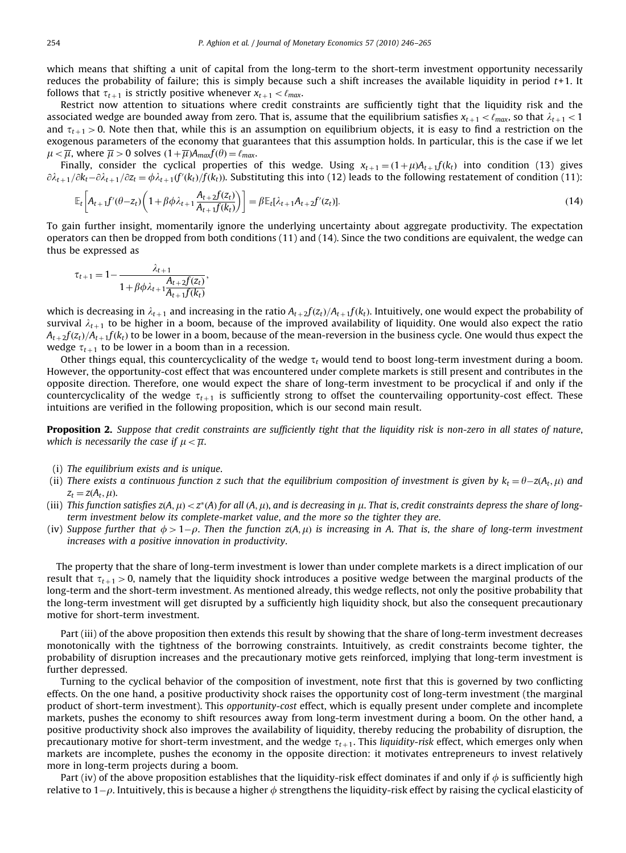which means that shifting a unit of capital from the long-term to the short-term investment opportunity necessarily reduces the probability of failure; this is simply because such a shift increases the available liquidity in period  $t+1$ . It follows that  $\tau_{t+1}$  is strictly positive whenever  $x_{t+1} < \ell_{max}$ .

Restrict now attention to situations where credit constraints are sufficiently tight that the liquidity risk and the associated wedge are bounded away from zero. That is, assume that the equilibrium satisfies  $x_{t+1} < \ell_{max}$ , so that  $\lambda_{t+1} < 1$ and  $\tau_{t+1} > 0$ . Note then that, while this is an assumption on equilibrium objects, it is easy to find a restriction on the exogenous parameters of the economy that guarantees that this assumption holds. In particular, this is the case if we let  $\mu < \overline{\mu}$ , where  $\overline{\mu} > 0$  solves  $(1 + \overline{\mu})A_{max}f(\theta) = \ell_{max}$ .

Finally, consider the cyclical properties of this wedge. Using  $x_{t+1} = (1 + \mu)A_{t+1}f(k_t)$  into condition (13) gives  $\partial \lambda_{t+1}/\partial k_t-\partial \lambda_{t+1}/\partial z_t = \phi \lambda_{t+1}(f'(k_t)/f(k_t))$ . Substituting this into (12) leads to the following restatement of condition (11):

$$
\mathbb{E}_t\left[A_{t+1}f'(\theta-z_t)\left(1+\beta\phi\lambda_{t+1}\frac{A_{t+2}f(z_t)}{A_{t+1}f(k_t)}\right)\right] = \beta\mathbb{E}_t[\lambda_{t+1}A_{t+2}f'(z_t)].
$$
\n(14)

To gain further insight, momentarily ignore the underlying uncertainty about aggregate productivity. The expectation operators can then be dropped from both conditions (11) and (14). Since the two conditions are equivalent, the wedge can thus be expressed as

$$
\tau_{t+1} = 1 - \frac{\lambda_{t+1}}{1 + \beta \phi \lambda_{t+1} \frac{A_{t+2}f(z_t)}{A_{t+1}f(k_t)}},
$$

which is decreasing in  $\lambda_{t+1}$  and increasing in the ratio  $A_{t+2}f(z_t)/A_{t+1}f(k_t)$ . Intuitively, one would expect the probability of survival  $\lambda_{t+1}$  to be higher in a boom, because of the improved availability of liquidity. One would also expect the ratio  $A_{t+2}f(z_t)/A_{t+1}f(k_t)$  to be lower in a boom, because of the mean-reversion in the business cycle. One would thus expect the wedge  $\tau_{t+1}$  to be lower in a boom than in a recession.

Other things equal, this countercyclicality of the wedge  $\tau_t$  would tend to boost long-term investment during a boom. However, the opportunity-cost effect that was encountered under complete markets is still present and contributes in the opposite direction. Therefore, one would expect the share of long-term investment to be procyclical if and only if the countercyclicality of the wedge  $\tau_{t+1}$  is sufficiently strong to offset the countervailing opportunity-cost effect. These intuitions are verified in the following proposition, which is our second main result.

Proposition 2. Suppose that credit constraints are sufficiently tight that the liquidity risk is non-zero in all states of nature, which is necessarily the case if  $\mu < \overline{\mu}$ .

- (i) The equilibrium exists and is unique.
- (ii) There exists a continuous function z such that the equilibrium composition of investment is given by  $k_t = \theta z(A_t, \mu)$  and  $z_t = z(A_t, \mu)$ .
- (iii) This function satisfies  $z(A,\mu) < z^*(A)$  for all  $(A,\mu)$ , and is decreasing in  $\mu$ . That is, credit constraints depress the share of longterm investment below its complete-market value, and the more so the tighter they are.
- (iv) Suppose further that  $\phi > 1-\rho$ . Then the function  $z(A, \mu)$  is increasing in A. That is, the share of long-term investment increases with a positive innovation in productivity.

The property that the share of long-term investment is lower than under complete markets is a direct implication of our result that  $\tau_{t+1} > 0$ , namely that the liquidity shock introduces a positive wedge between the marginal products of the long-term and the short-term investment. As mentioned already, this wedge reflects, not only the positive probability that the long-term investment will get disrupted by a sufficiently high liquidity shock, but also the consequent precautionary motive for short-term investment.

Part (iii) of the above proposition then extends this result by showing that the share of long-term investment decreases monotonically with the tightness of the borrowing constraints. Intuitively, as credit constraints become tighter, the probability of disruption increases and the precautionary motive gets reinforced, implying that long-term investment is further depressed.

Turning to the cyclical behavior of the composition of investment, note first that this is governed by two conflicting effects. On the one hand, a positive productivity shock raises the opportunity cost of long-term investment (the marginal product of short-term investment). This opportunity-cost effect, which is equally present under complete and incomplete markets, pushes the economy to shift resources away from long-term investment during a boom. On the other hand, a positive productivity shock also improves the availability of liquidity, thereby reducing the probability of disruption, the precautionary motive for short-term investment, and the wedge  $\tau_{t+1}$ . This liquidity-risk effect, which emerges only when markets are incomplete, pushes the economy in the opposite direction: it motivates entrepreneurs to invest relatively more in long-term projects during a boom.

Part (iv) of the above proposition establishes that the liquidity-risk effect dominates if and only if  $\phi$  is sufficiently high relative to 1– $\rho$ . Intuitively, this is because a higher  $\phi$  strengthens the liquidity-risk effect by raising the cyclical elasticity of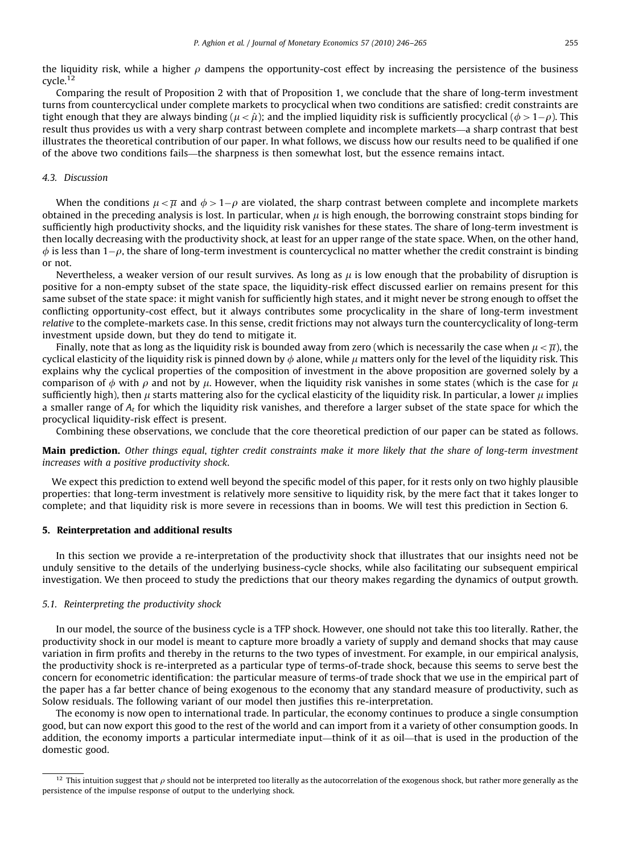the liquidity risk, while a higher  $\rho$  dampens the opportunity-cost effect by increasing the persistence of the business cycle.<sup>12</sup>

Comparing the result of Proposition 2 with that of Proposition 1, we conclude that the share of long-term investment turns from countercyclical under complete markets to procyclical when two conditions are satisfied: credit constraints are tight enough that they are always binding ( $\mu < \hat\mu$ ); and the implied liquidity risk is sufficiently procyclical ( $\phi > 1-\rho$ ). This result thus provides us with a very sharp contrast between complete and incomplete markets—a sharp contrast that best illustrates the theoretical contribution of our paper. In what follows, we discuss how our results need to be qualified if one of the above two conditions fails—the sharpness is then somewhat lost, but the essence remains intact.

#### 4.3. Discussion

When the conditions  $\mu\!<\!\overline\mu$  and  $\phi\!>\!1\!-\!\rho$  are violated, the sharp contrast between complete and incomplete markets obtained in the preceding analysis is lost. In particular, when  $\mu$  is high enough, the borrowing constraint stops binding for sufficiently high productivity shocks, and the liquidity risk vanishes for these states. The share of long-term investment is then locally decreasing with the productivity shock, at least for an upper range of the state space. When, on the other hand,  $\phi$  is less than 1– $\rho$ , the share of long-term investment is countercyclical no matter whether the credit constraint is binding or not.

Nevertheless, a weaker version of our result survives. As long as  $\mu$  is low enough that the probability of disruption is positive for a non-empty subset of the state space, the liquidity-risk effect discussed earlier on remains present for this same subset of the state space: it might vanish for sufficiently high states, and it might never be strong enough to offset the conflicting opportunity-cost effect, but it always contributes some procyclicality in the share of long-term investment relative to the complete-markets case. In this sense, credit frictions may not always turn the countercyclicality of long-term investment upside down, but they do tend to mitigate it.

Finally, note that as long as the liquidity risk is bounded away from zero (which is necessarily the case when  $\mu < \overline{\mu}$ ), the cyclical elasticity of the liquidity risk is pinned down by  $\phi$  alone, while  $\mu$  matters only for the level of the liquidity risk. This explains why the cyclical properties of the composition of investment in the above proposition are governed solely by a comparison of  $\phi$  with  $\rho$  and not by  $\mu$ . However, when the liquidity risk vanishes in some states (which is the case for  $\mu$ sufficiently high), then  $\mu$  starts mattering also for the cyclical elasticity of the liquidity risk. In particular, a lower  $\mu$  implies a smaller range of  $A_t$  for which the liquidity risk vanishes, and therefore a larger subset of the state space for which the procyclical liquidity-risk effect is present.

Combining these observations, we conclude that the core theoretical prediction of our paper can be stated as follows.

Main prediction. Other things equal, tighter credit constraints make it more likely that the share of long-term investment increases with a positive productivity shock.

We expect this prediction to extend well beyond the specific model of this paper, for it rests only on two highly plausible properties: that long-term investment is relatively more sensitive to liquidity risk, by the mere fact that it takes longer to complete; and that liquidity risk is more severe in recessions than in booms. We will test this prediction in Section 6.

#### 5. Reinterpretation and additional results

In this section we provide a re-interpretation of the productivity shock that illustrates that our insights need not be unduly sensitive to the details of the underlying business-cycle shocks, while also facilitating our subsequent empirical investigation. We then proceed to study the predictions that our theory makes regarding the dynamics of output growth.

#### 5.1. Reinterpreting the productivity shock

In our model, the source of the business cycle is a TFP shock. However, one should not take this too literally. Rather, the productivity shock in our model is meant to capture more broadly a variety of supply and demand shocks that may cause variation in firm profits and thereby in the returns to the two types of investment. For example, in our empirical analysis, the productivity shock is re-interpreted as a particular type of terms-of-trade shock, because this seems to serve best the concern for econometric identification: the particular measure of terms-of trade shock that we use in the empirical part of the paper has a far better chance of being exogenous to the economy that any standard measure of productivity, such as Solow residuals. The following variant of our model then justifies this re-interpretation.

The economy is now open to international trade. In particular, the economy continues to produce a single consumption good, but can now export this good to the rest of the world and can import from it a variety of other consumption goods. In addition, the economy imports a particular intermediate input—think of it as oil—that is used in the production of the domestic good.

<sup>&</sup>lt;sup>12</sup> This intuition suggest that  $\rho$  should not be interpreted too literally as the autocorrelation of the exogenous shock, but rather more generally as the persistence of the impulse response of output to the underlying shock.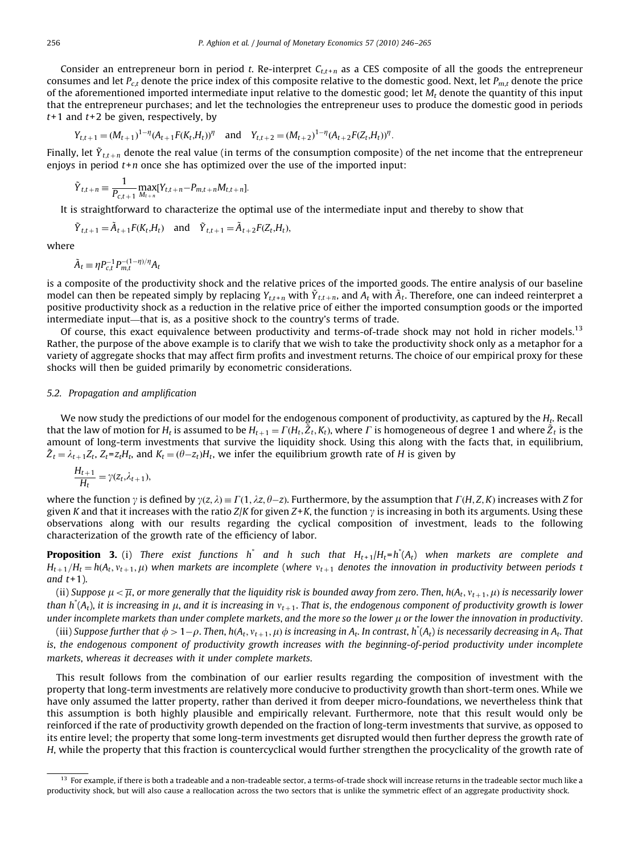Consider an entrepreneur born in period t. Re-interpret  $C_{t,t+n}$  as a CES composite of all the goods the entrepreneur consumes and let  $P_{ct}$  denote the price index of this composite relative to the domestic good. Next, let  $P_{mt}$  denote the price of the aforementioned imported intermediate input relative to the domestic good; let  $M_t$  denote the quantity of this input that the entrepreneur purchases; and let the technologies the entrepreneur uses to produce the domestic good in periods  $t+1$  and  $t+2$  be given, respectively, by

$$
Y_{t,t+1} = (M_{t+1})^{1-\eta} (A_{t+1} F(K_t, H_t))^{\eta}
$$
 and  $Y_{t,t+2} = (M_{t+2})^{1-\eta} (A_{t+2} F(Z_t, H_t))^{\eta}$ .

Finally, let  $\tilde{Y}_{t,t+n}$  denote the real value (in terms of the consumption composite) of the net income that the entrepreneur enjoys in period  $t+n$  once she has optimized over the use of the imported input:

$$
\tilde{Y}_{t,t+n} = \frac{1}{P_{c,t+1}} \max_{M_{t+n}} [Y_{t,t+n} - P_{m,t+n} M_{t,t+n}].
$$

It is straightforward to characterize the optimal use of the intermediate input and thereby to show that

$$
\tilde{Y}_{t,t+1} = \tilde{A}_{t+1} F(K_t, H_t) \quad \text{and} \quad \tilde{Y}_{t,t+1} = \tilde{A}_{t+2} F(Z_t, H_t),
$$

where

$$
\tilde{A}_t \equiv \eta P_{c,t}^{-1} P_{m,t}^{-(1-\eta)/\eta} A_t
$$

is a composite of the productivity shock and the relative prices of the imported goods. The entire analysis of our baseline model can then be repeated simply by replacing  $Y_{t,t+n}$  with  $\tilde{Y}_{t,t+n}$ , and  $A_t$  with  $\tilde{A}_t$ . Therefore, one can indeed reinterpret a positive productivity shock as a reduction in the relative price of either the imported consumption goods or the imported intermediate input—that is, as a positive shock to the country's terms of trade.

Of course, this exact equivalence between productivity and terms-of-trade shock may not hold in richer models.<sup>13</sup> Rather, the purpose of the above example is to clarify that we wish to take the productivity shock only as a metaphor for a variety of aggregate shocks that may affect firm profits and investment returns. The choice of our empirical proxy for these shocks will then be guided primarily by econometric considerations.

## 5.2. Propagation and amplification

We now study the predictions of our model for the endogenous component of productivity, as captured by the  $H_t$ . Recall that the law of motion for  $H_t$  is assumed to be  $H_{t+1} = \Gamma(H_t, \tilde Z_t, K_t)$ , where  $\Gamma$  is homogeneous of degree 1 and where  $\tilde Z_t$  is the amount of long-term investments that survive the liquidity shock. Using this along with the facts that, in equilibrium,  $\tilde{Z}_t = \lambda_{t+1} Z_t$ ,  $Z_t = z_t H_t$ , and  $K_t = (\theta - z_t) H_t$ , we infer the equilibrium growth rate of H is given by

$$
\frac{H_{t+1}}{H_t} = \gamma(z_t, \lambda_{t+1}),
$$

where the function  $\gamma$  is defined by  $\gamma(z,\lambda) \equiv \Gamma(1,\lambda z,\theta-z)$ . Furthermore, by the assumption that  $\Gamma(H,Z,K)$  increases with Z for given K and that it increases with the ratio Z/K for given  $Z+K$ , the function  $\gamma$  is increasing in both its arguments. Using these observations along with our results regarding the cyclical composition of investment, leads to the following characterization of the growth rate of the efficiency of labor.

**Proposition 3.** (i) There exist functions h $^*$  and h such that  $H_{t+1}/H_t$ =h $^*(A_t)$  when markets are complete and  $H_{t+1}/H_t = h(A_t, v_{t+1}, \mu)$  when markets are incomplete (where  $v_{t+1}$  denotes the innovation in productivity between periods t and  $t+1$ ).

(ii) Suppose  $\mu < \overline{\mu}$ , or more generally that the liquidity risk is bounded away from zero. Then,  $h(A_t, v_{t+1}, \mu)$  is necessarily lower than h $\r(p_{t})$ , it is increasing in  $\mu$ , and it is increasing in  $v_{t+1}.$  That is, the endogenous component of productivity growth is lower under incomplete markets than under complete markets, and the more so the lower  $\mu$  or the lower the innovation in productivity.

(iii) Suppose further that  $\phi>1-\rho$ . Then, h(A<sub>t</sub>, v<sub>t+1</sub>,  $\mu$ ) is increasing in A<sub>t</sub>. In contrast, h $^*(A_t)$  is necessarily decreasing in A<sub>t</sub>. That is, the endogenous component of productivity growth increases with the beginning-of-period productivity under incomplete markets, whereas it decreases with it under complete markets.

This result follows from the combination of our earlier results regarding the composition of investment with the property that long-term investments are relatively more conducive to productivity growth than short-term ones. While we have only assumed the latter property, rather than derived it from deeper micro-foundations, we nevertheless think that this assumption is both highly plausible and empirically relevant. Furthermore, note that this result would only be reinforced if the rate of productivity growth depended on the fraction of long-term investments that survive, as opposed to its entire level; the property that some long-term investments get disrupted would then further depress the growth rate of H, while the property that this fraction is countercyclical would further strengthen the procyclicality of the growth rate of

 $^{13}$  For example, if there is both a tradeable and a non-tradeable sector, a terms-of-trade shock will increase returns in the tradeable sector much like a productivity shock, but will also cause a reallocation across the two sectors that is unlike the symmetric effect of an aggregate productivity shock.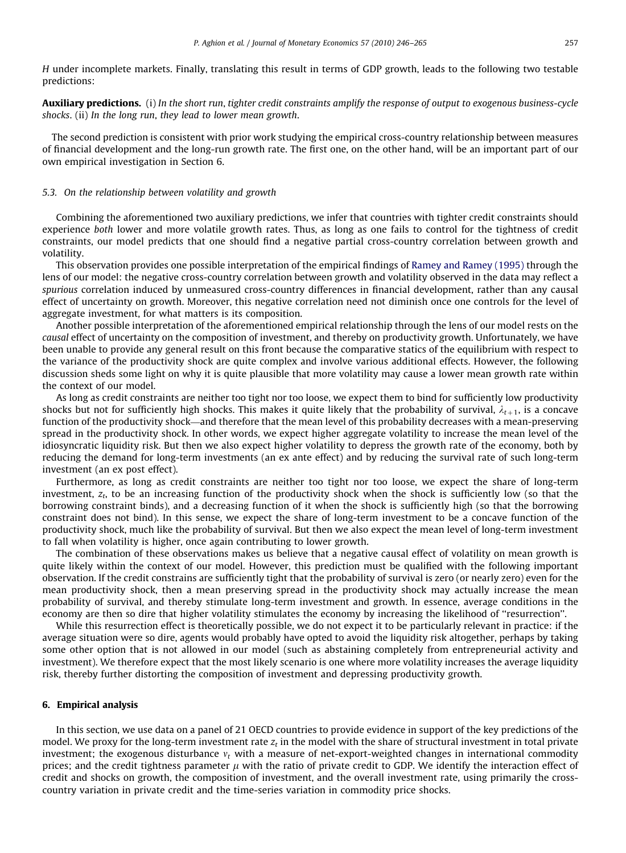H under incomplete markets. Finally, translating this result in terms of GDP growth, leads to the following two testable predictions:

Auxiliary predictions. (i) In the short run, tighter credit constraints amplify the response of output to exogenous business-cycle shocks. (ii) In the long run, they lead to lower mean growth.

The second prediction is consistent with prior work studying the empirical cross-country relationship between measures of financial development and the long-run growth rate. The first one, on the other hand, will be an important part of our own empirical investigation in Section 6.

#### 5.3. On the relationship between volatility and growth

Combining the aforementioned two auxiliary predictions, we infer that countries with tighter credit constraints should experience both lower and more volatile growth rates. Thus, as long as one fails to control for the tightness of credit constraints, our model predicts that one should find a negative partial cross-country correlation between growth and volatility.

This observation provides one possible interpretation of the empirical findings of [Ramey and Ramey \(1995\)](#page-19-0) through the lens of our model: the negative cross-country correlation between growth and volatility observed in the data may reflect a spurious correlation induced by unmeasured cross-country differences in financial development, rather than any causal effect of uncertainty on growth. Moreover, this negative correlation need not diminish once one controls for the level of aggregate investment, for what matters is its composition.

Another possible interpretation of the aforementioned empirical relationship through the lens of our model rests on the causal effect of uncertainty on the composition of investment, and thereby on productivity growth. Unfortunately, we have been unable to provide any general result on this front because the comparative statics of the equilibrium with respect to the variance of the productivity shock are quite complex and involve various additional effects. However, the following discussion sheds some light on why it is quite plausible that more volatility may cause a lower mean growth rate within the context of our model.

As long as credit constraints are neither too tight nor too loose, we expect them to bind for sufficiently low productivity shocks but not for sufficiently high shocks. This makes it quite likely that the probability of survival,  $\lambda_{t+1}$ , is a concave function of the productivity shock—and therefore that the mean level of this probability decreases with a mean-preserving spread in the productivity shock. In other words, we expect higher aggregate volatility to increase the mean level of the idiosyncratic liquidity risk. But then we also expect higher volatility to depress the growth rate of the economy, both by reducing the demand for long-term investments (an ex ante effect) and by reducing the survival rate of such long-term investment (an ex post effect).

Furthermore, as long as credit constraints are neither too tight nor too loose, we expect the share of long-term investment,  $z<sub>t</sub>$ , to be an increasing function of the productivity shock when the shock is sufficiently low (so that the borrowing constraint binds), and a decreasing function of it when the shock is sufficiently high (so that the borrowing constraint does not bind). In this sense, we expect the share of long-term investment to be a concave function of the productivity shock, much like the probability of survival. But then we also expect the mean level of long-term investment to fall when volatility is higher, once again contributing to lower growth.

The combination of these observations makes us believe that a negative causal effect of volatility on mean growth is quite likely within the context of our model. However, this prediction must be qualified with the following important observation. If the credit constrains are sufficiently tight that the probability of survival is zero (or nearly zero) even for the mean productivity shock, then a mean preserving spread in the productivity shock may actually increase the mean probability of survival, and thereby stimulate long-term investment and growth. In essence, average conditions in the economy are then so dire that higher volatility stimulates the economy by increasing the likelihood of ''resurrection''.

While this resurrection effect is theoretically possible, we do not expect it to be particularly relevant in practice: if the average situation were so dire, agents would probably have opted to avoid the liquidity risk altogether, perhaps by taking some other option that is not allowed in our model (such as abstaining completely from entrepreneurial activity and investment). We therefore expect that the most likely scenario is one where more volatility increases the average liquidity risk, thereby further distorting the composition of investment and depressing productivity growth.

## 6. Empirical analysis

In this section, we use data on a panel of 21 OECD countries to provide evidence in support of the key predictions of the model. We proxy for the long-term investment rate  $z_t$  in the model with the share of structural investment in total private investment; the exogenous disturbance  $v_t$  with a measure of net-export-weighted changes in international commodity prices; and the credit tightness parameter  $\mu$  with the ratio of private credit to GDP. We identify the interaction effect of credit and shocks on growth, the composition of investment, and the overall investment rate, using primarily the crosscountry variation in private credit and the time-series variation in commodity price shocks.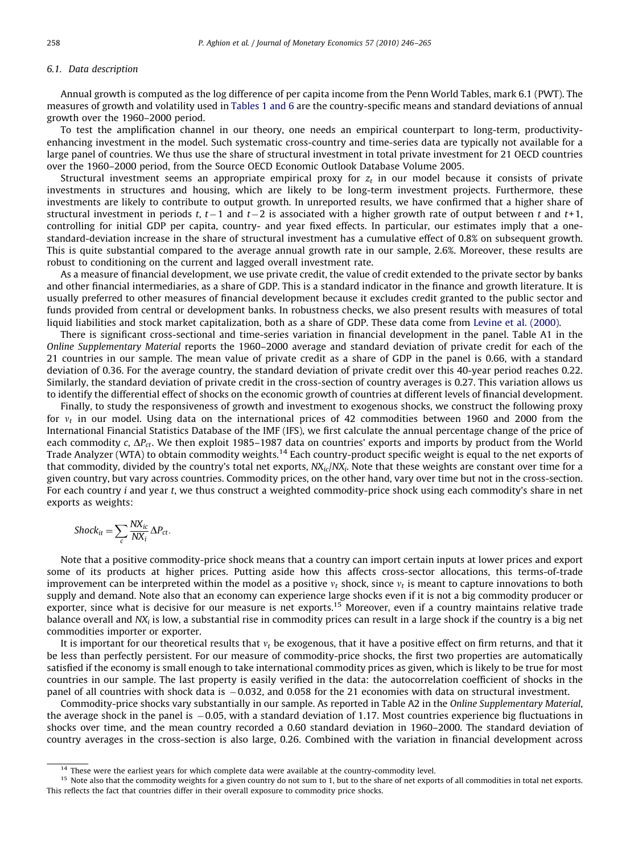## 6.1. Data description

Annual growth is computed as the log difference of per capita income from the Penn World Tables, mark 6.1 (PWT). The measures of growth and volatility used in Tables 1 and 6 are the country-specific means and standard deviations of annual growth over the 1960–2000 period.

To test the amplification channel in our theory, one needs an empirical counterpart to long-term, productivityenhancing investment in the model. Such systematic cross-country and time-series data are typically not available for a large panel of countries. We thus use the share of structural investment in total private investment for 21 OECD countries over the 1960–2000 period, from the Source OECD Economic Outlook Database Volume 2005.

Structural investment seems an appropriate empirical proxy for  $z_t$  in our model because it consists of private investments in structures and housing, which are likely to be long-term investment projects. Furthermore, these investments are likely to contribute to output growth. In unreported results, we have confirmed that a higher share of structural investment in periods t, t–1 and t–2 is associated with a higher growth rate of output between t and t+1, controlling for initial GDP per capita, country- and year fixed effects. In particular, our estimates imply that a onestandard-deviation increase in the share of structural investment has a cumulative effect of 0.8% on subsequent growth. This is quite substantial compared to the average annual growth rate in our sample, 2.6%. Moreover, these results are robust to conditioning on the current and lagged overall investment rate.

As a measure of financial development, we use private credit, the value of credit extended to the private sector by banks and other financial intermediaries, as a share of GDP. This is a standard indicator in the finance and growth literature. It is usually preferred to other measures of financial development because it excludes credit granted to the public sector and funds provided from central or development banks. In robustness checks, we also present results with measures of total liquid liabilities and stock market capitalization, both as a share of GDP. These data come from [Levine et al. \(2000\)](#page-19-0).

There is significant cross-sectional and time-series variation in financial development in the panel. Table A1 in the Online Supplementary Material reports the 1960–2000 average and standard deviation of private credit for each of the 21 countries in our sample. The mean value of private credit as a share of GDP in the panel is 0.66, with a standard deviation of 0.36. For the average country, the standard deviation of private credit over this 40-year period reaches 0.22. Similarly, the standard deviation of private credit in the cross-section of country averages is 0.27. This variation allows us to identify the differential effect of shocks on the economic growth of countries at different levels of financial development.

Finally, to study the responsiveness of growth and investment to exogenous shocks, we construct the following proxy for  $v_t$  in our model. Using data on the international prices of 42 commodities between 1960 and 2000 from the International Financial Statistics Database of the IMF (IFS), we first calculate the annual percentage change of the price of each commodity  $c$ ,  $\Delta P_{ct}$ . We then exploit 1985–1987 data on countries' exports and imports by product from the World Trade Analyzer (WTA) to obtain commodity weights.<sup>14</sup> Each country-product specific weight is equal to the net exports of that commodity, divided by the country's total net exports,  $NX_{ic}/NX_i$ . Note that these weights are constant over time for a given country, but vary across countries. Commodity prices, on the other hand, vary over time but not in the cross-section. For each country *i* and year t, we thus construct a weighted commodity-price shock using each commodity's share in net exports as weights:

$$
Shock_{it} = \sum_{c} \frac{NX_{ic}}{NX_i} \Delta P_{ct}.
$$

Note that a positive commodity-price shock means that a country can import certain inputs at lower prices and export some of its products at higher prices. Putting aside how this affects cross-sector allocations, this terms-of-trade improvement can be interpreted within the model as a positive  $v_t$  shock, since  $v_t$  is meant to capture innovations to both supply and demand. Note also that an economy can experience large shocks even if it is not a big commodity producer or exporter, since what is decisive for our measure is net exports.<sup>15</sup> Moreover, even if a country maintains relative trade balance overall and  $NX_i$  is low, a substantial rise in commodity prices can result in a large shock if the country is a big net commodities importer or exporter.

It is important for our theoretical results that  $v_t$  be exogenous, that it have a positive effect on firm returns, and that it be less than perfectly persistent. For our measure of commodity-price shocks, the first two properties are automatically satisfied if the economy is small enough to take international commodity prices as given, which is likely to be true for most countries in our sample. The last property is easily verified in the data: the autocorrelation coefficient of shocks in the panel of all countries with shock data is  $-0.032$ , and 0.058 for the 21 economies with data on structural investment.

Commodity-price shocks vary substantially in our sample. As reported in Table A2 in the Online Supplementary Material, the average shock in the panel is –0.05, with a standard deviation of 1.17. Most countries experience big fluctuations in shocks over time, and the mean country recorded a 0.60 standard deviation in 1960–2000. The standard deviation of country averages in the cross-section is also large, 0.26. Combined with the variation in financial development across

<sup>&</sup>lt;sup>14</sup> These were the earliest years for which complete data were available at the country-commodity level.

<sup>&</sup>lt;sup>15</sup> Note also that the commodity weights for a given country do not sum to 1, but to the share of net exports of all commodities in total net exports. This reflects the fact that countries differ in their overall exposure to commodity price shocks.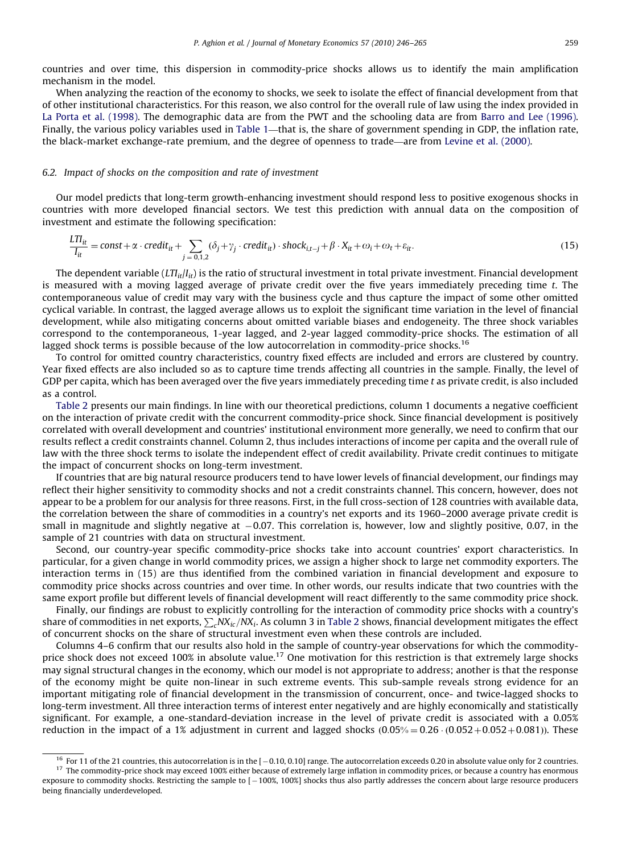countries and over time, this dispersion in commodity-price shocks allows us to identify the main amplification mechanism in the model.

When analyzing the reaction of the economy to shocks, we seek to isolate the effect of financial development from that of other institutional characteristics. For this reason, we also control for the overall rule of law using the index provided in [La Porta et al. \(1998\).](#page-19-0) The demographic data are from the PWT and the schooling data are from [Barro and Lee \(1996\)](#page-19-0). Finally, the various policy variables used in Table 1—that is, the share of government spending in GDP, the inflation rate, the black-market exchange-rate premium, and the degree of openness to trade—are from [Levine et al. \(2000\)](#page-19-0).

#### 6.2. Impact of shocks on the composition and rate of investment

Our model predicts that long-term growth-enhancing investment should respond less to positive exogenous shocks in countries with more developed financial sectors. We test this prediction with annual data on the composition of investment and estimate the following specification:

$$
\frac{LT_{it}}{I_{it}} = const + \alpha \cdot credit_{it} + \sum_{j=0,1,2} (\delta_j + \gamma_j \cdot credit_{it}) \cdot shock_{i,t-j} + \beta \cdot X_{it} + \omega_i + \omega_t + \varepsilon_{it}.
$$
\n(15)

The dependent variable  $(LTI_{if}|I_{if})$  is the ratio of structural investment in total private investment. Financial development is measured with a moving lagged average of private credit over the five years immediately preceding time  $t$ . The contemporaneous value of credit may vary with the business cycle and thus capture the impact of some other omitted cyclical variable. In contrast, the lagged average allows us to exploit the significant time variation in the level of financial development, while also mitigating concerns about omitted variable biases and endogeneity. The three shock variables correspond to the contemporaneous, 1-year lagged, and 2-year lagged commodity-price shocks. The estimation of all lagged shock terms is possible because of the low autocorrelation in commodity-price shocks.<sup>16</sup>

To control for omitted country characteristics, country fixed effects are included and errors are clustered by country. Year fixed effects are also included so as to capture time trends affecting all countries in the sample. Finally, the level of GDP per capita, which has been averaged over the five years immediately preceding time t as private credit, is also included as a control.

Table 2 presents our main findings. In line with our theoretical predictions, column 1 documents a negative coefficient on the interaction of private credit with the concurrent commodity-price shock. Since financial development is positively correlated with overall development and countries' institutional environment more generally, we need to confirm that our results reflect a credit constraints channel. Column 2, thus includes interactions of income per capita and the overall rule of law with the three shock terms to isolate the independent effect of credit availability. Private credit continues to mitigate the impact of concurrent shocks on long-term investment.

If countries that are big natural resource producers tend to have lower levels of financial development, our findings may reflect their higher sensitivity to commodity shocks and not a credit constraints channel. This concern, however, does not appear to be a problem for our analysis for three reasons. First, in the full cross-section of 128 countries with available data, the correlation between the share of commodities in a country's net exports and its 1960–2000 average private credit is small in magnitude and slightly negative at  $-0.07$ . This correlation is, however, low and slightly positive, 0.07, in the sample of 21 countries with data on structural investment.

Second, our country-year specific commodity-price shocks take into account countries' export characteristics. In particular, for a given change in world commodity prices, we assign a higher shock to large net commodity exporters. The interaction terms in (15) are thus identified from the combined variation in financial development and exposure to commodity price shocks across countries and over time. In other words, our results indicate that two countries with the same export profile but different levels of financial development will react differently to the same commodity price shock.

Finally, our findings are robust to explicitly controlling for the interaction of commodity price shocks with a country's share of commodities in net exports,  $\sum_c N X_{ic}/N X_i$ . As column 3 in Table 2 shows, financial development mitigates the effect of concurrent shocks on the share of structural investment even when these controls are included.

Columns 4–6 confirm that our results also hold in the sample of country-year observations for which the commodityprice shock does not exceed 100% in absolute value.<sup>17</sup> One motivation for this restriction is that extremely large shocks may signal structural changes in the economy, which our model is not appropriate to address; another is that the response of the economy might be quite non-linear in such extreme events. This sub-sample reveals strong evidence for an important mitigating role of financial development in the transmission of concurrent, once- and twice-lagged shocks to long-term investment. All three interaction terms of interest enter negatively and are highly economically and statistically significant. For example, a one-standard-deviation increase in the level of private credit is associated with a 0.05% reduction in the impact of a 1% adjustment in current and lagged shocks  $(0.05% = 0.26 \cdot (0.052 + 0.052 + 0.081))$ . These

<sup>&</sup>lt;sup>16</sup> For 11 of the 21 countries, this autocorrelation is in the  $[-0.10, 0.10]$  range. The autocorrelation exceeds 0.20 in absolute value only for 2 countries. <sup>17</sup> The commodity-price shock may exceed 100% either because of extremely large inflation in commodity prices, or because a country has enormous exposure to commodity shocks. Restricting the sample to [–100%, 100%] shocks thus also partly addresses the concern about large resource producers being financially underdeveloped.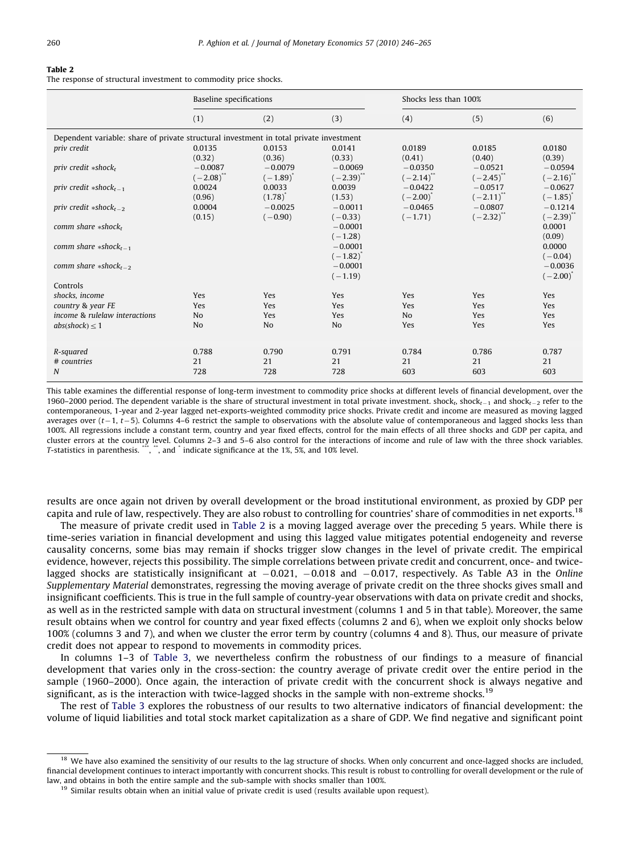The response of structural investment to commodity price shocks.

|                                                                                        | <b>Baseline specifications</b> |                      |                | Shocks less than 100% |                |                     |  |  |  |  |  |
|----------------------------------------------------------------------------------------|--------------------------------|----------------------|----------------|-----------------------|----------------|---------------------|--|--|--|--|--|
|                                                                                        | (1)                            | (2)                  | (3)            | (4)                   | (5)            | (6)                 |  |  |  |  |  |
| Dependent variable: share of private structural investment in total private investment |                                |                      |                |                       |                |                     |  |  |  |  |  |
| priv credit                                                                            | 0.0135                         | 0.0153               | 0.0141         | 0.0189                | 0.0185         | 0.0180              |  |  |  |  |  |
|                                                                                        | (0.32)                         | (0.36)               | (0.33)         | (0.41)                | (0.40)         | (0.39)              |  |  |  |  |  |
| priv credit *shock,                                                                    | $-0.0087$                      | $-0.0079$            | $-0.0069$      | $-0.0350$             | $-0.0521$      | $-0.0594$           |  |  |  |  |  |
|                                                                                        | $(-2.08)^{11}$                 | $(-1.89)^{^{\circ}}$ | $(-2.39)^{**}$ | $(-2.14)^{4}$         | $(-2.45)^{10}$ | $(-2.16)^{n}$       |  |  |  |  |  |
| priv credit $*shock_{t-1}$                                                             | 0.0024                         | 0.0033               | 0.0039         | $-0.0422$             | $-0.0517$      | $-0.0627$           |  |  |  |  |  |
|                                                                                        | (0.96)                         | $(1.78)^{*}$         | (1.53)         | $(-2.00)^{\degree}$   | $(-2.11)^{**}$ | $(-1.85)^{*}$       |  |  |  |  |  |
| priv credit *shock $_{t-2}$                                                            | 0.0004                         | $-0.0025$            | $-0.0011$      | $-0.0465$             | $-0.0807$      | $-0.1214$           |  |  |  |  |  |
|                                                                                        | (0.15)                         | $(-0.90)$            | $(-0.33)$      | $(-1.71)$             | $(-2.32)^{**}$ | $(-2.39)^{4}$       |  |  |  |  |  |
| comm share $*shock_t$                                                                  |                                |                      | $-0.0001$      |                       |                | 0.0001              |  |  |  |  |  |
|                                                                                        |                                |                      | $(-1.28)$      |                       |                | (0.09)              |  |  |  |  |  |
| comm share $*shock_{t-1}$                                                              |                                |                      | $-0.0001$      |                       |                | 0.0000              |  |  |  |  |  |
|                                                                                        |                                |                      | $(-1.82)^{r}$  |                       |                | $(-0.04)$           |  |  |  |  |  |
| comm share $*shock_{t-2}$                                                              |                                |                      | $-0.0001$      |                       |                | $-0.0036$           |  |  |  |  |  |
|                                                                                        |                                |                      | $(-1.19)$      |                       |                | $(-2.00)^{\degree}$ |  |  |  |  |  |
| Controls                                                                               |                                |                      |                |                       |                |                     |  |  |  |  |  |
| shocks, income                                                                         | Yes                            | Yes                  | Yes            | <b>Yes</b>            | Yes            | Yes                 |  |  |  |  |  |
| country & year FE                                                                      | Yes                            | Yes                  | Yes            | Yes                   | Yes            | Yes                 |  |  |  |  |  |
| income & rulelaw interactions                                                          | N <sub>o</sub>                 | Yes                  | Yes            | N <sub>o</sub>        | Yes            | Yes                 |  |  |  |  |  |
| $abs(shock) \leq 1$                                                                    | N <sub>o</sub>                 | N <sub>o</sub>       | N <sub>o</sub> | Yes                   | Yes            | Yes                 |  |  |  |  |  |
|                                                                                        |                                |                      |                |                       |                |                     |  |  |  |  |  |
| R-squared                                                                              | 0.788                          | 0.790                | 0.791          | 0.784                 | 0.786          | 0.787               |  |  |  |  |  |
| # countries                                                                            | 21                             | 21                   | 21             | 21                    | 21             | 21                  |  |  |  |  |  |
| N                                                                                      | 728                            | 728                  | 728            | 603                   | 603            | 603                 |  |  |  |  |  |
|                                                                                        |                                |                      |                |                       |                |                     |  |  |  |  |  |

This table examines the differential response of long-term investment to commodity price shocks at different levels of financial development, over the 1960–2000 period. The dependent variable is the share of structural investment in total private investment. shock<sub>t</sub>, shock<sub>t-1</sub> and shock<sub>t-2</sub> refer to the contemporaneous, 1-year and 2-year lagged net-exports-weighted commodity price shocks. Private credit and income are measured as moving lagged averages over  $(t-1, t-5)$ . Columns 4–6 restrict the sample to observations with the absolute value of contemporaneous and lagged shocks less than 100%. All regressions include a constant term, country and year fixed effects, control for the main effects of all three shocks and GDP per capita, and cluster errors at the country level. Columns 2–3 and 5–6 also control for the interactions of income and rule of law with the three shock variables. T-statistics in parenthesis. \*\*\*, \*\*, and \* indicate significance at the 1%, 5%, and 10% level.

results are once again not driven by overall development or the broad institutional environment, as proxied by GDP per capita and rule of law, respectively. They are also robust to controlling for countries' share of commodities in net exports.<sup>18</sup>

The measure of private credit used in Table 2 is a moving lagged average over the preceding 5 years. While there is time-series variation in financial development and using this lagged value mitigates potential endogeneity and reverse causality concerns, some bias may remain if shocks trigger slow changes in the level of private credit. The empirical evidence, however, rejects this possibility. The simple correlations between private credit and concurrent, once- and twicelagged shocks are statistically insignificant at  $-0.021$ ,  $-0.018$  and  $-0.017$ , respectively. As Table A3 in the Online Supplementary Material demonstrates, regressing the moving average of private credit on the three shocks gives small and insignificant coefficients. This is true in the full sample of country-year observations with data on private credit and shocks, as well as in the restricted sample with data on structural investment (columns 1 and 5 in that table). Moreover, the same result obtains when we control for country and year fixed effects (columns 2 and 6), when we exploit only shocks below 100% (columns 3 and 7), and when we cluster the error term by country (columns 4 and 8). Thus, our measure of private credit does not appear to respond to movements in commodity prices.

In columns 1–3 of Table 3, we nevertheless confirm the robustness of our findings to a measure of financial development that varies only in the cross-section: the country average of private credit over the entire period in the sample (1960–2000). Once again, the interaction of private credit with the concurrent shock is always negative and significant, as is the interaction with twice-lagged shocks in the sample with non-extreme shocks.<sup>19</sup>

The rest of Table 3 explores the robustness of our results to two alternative indicators of financial development: the volume of liquid liabilities and total stock market capitalization as a share of GDP. We find negative and significant point

<sup>&</sup>lt;sup>18</sup> We have also examined the sensitivity of our results to the lag structure of shocks. When only concurrent and once-lagged shocks are included, financial development continues to interact importantly with concurrent shocks. This result is robust to controlling for overall development or the rule of law, and obtains in both the entire sample and the sub-sample with shocks smaller than 100%.

 $19$  Similar results obtain when an initial value of private credit is used (results available upon request).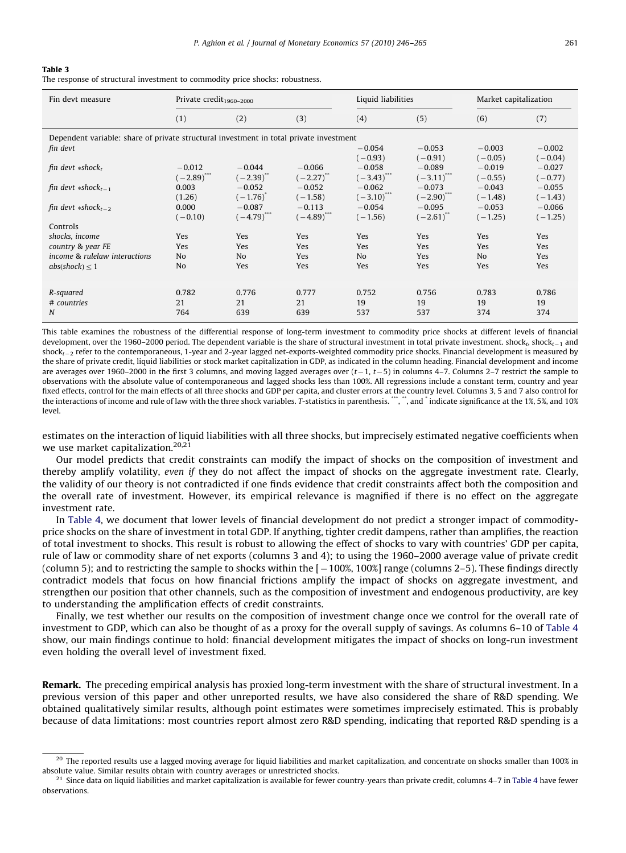The response of structural investment to commodity price shocks: robustness.

| Fin devt measure                                                                                                        | Private credit <sub>1960-2000</sub>                            |                                                                 |                                                                           | Liquid liabilities                                                 |                                                                     | Market capitalization                          |                                                |  |
|-------------------------------------------------------------------------------------------------------------------------|----------------------------------------------------------------|-----------------------------------------------------------------|---------------------------------------------------------------------------|--------------------------------------------------------------------|---------------------------------------------------------------------|------------------------------------------------|------------------------------------------------|--|
|                                                                                                                         | (1)                                                            | (2)                                                             | (3)                                                                       | (4)                                                                | (5)                                                                 | (6)                                            | (7)                                            |  |
| Dependent variable: share of private structural investment in total private investment<br>fin devt<br>fin devt $*shock$ | $-0.012$                                                       | $-0.044$                                                        | $-0.066$                                                                  | $-0.054$<br>$(-0.93)$<br>$-0.058$                                  | $-0.053$<br>$(-0.91)$<br>$-0.089$                                   | $-0.003$<br>$(-0.05)$<br>$-0.019$              | $-0.002$<br>$(-0.04)$<br>$-0.027$              |  |
| fin devt *shock <sub>t-1</sub><br>fin devt *shock <sub>t-2</sub>                                                        | $(-2.89)^{11}$<br>0.003<br>(1.26)<br>0.000                     | $(-2.39)^{14}$<br>$-0.052$<br>$(-1.76)^{^{\circ}}$<br>$-0.087$  | $(-2.27)^{4}$<br>$-0.052$<br>$(-1.58)$<br>$-0.113$                        | $(-3.43)^{11}$<br>$-0.062$<br>$(-3.10)$ <sup>***</sup><br>$-0.054$ | $(-3.11)^{***}$<br>$-0.073$<br>$(-2.90)$ <sup>***</sup><br>$-0.095$ | $(-0.55)$<br>$-0.043$<br>$(-1.48)$<br>$-0.053$ | $(-0.77)$<br>$-0.055$<br>$(-1.43)$<br>$-0.066$ |  |
| Controls<br>shocks, income<br>country & year FE<br>income & rulelaw interactions<br>$abs(shock) \leq 1$                 | $(-0.10)$<br><b>Yes</b><br><b>Yes</b><br>No.<br>N <sub>0</sub> | $(-4.79)$ <sup>***</sup><br>Yes<br>Yes<br>N <sub>0</sub><br>Yes | $(-4.89)$ <sup>***</sup><br><b>Yes</b><br>Yes<br><b>Yes</b><br><b>Yes</b> | $(-1.56)$<br><b>Yes</b><br>Yes<br>N <sub>0</sub><br>Yes            | $(-2.61)^{4}$<br>Yes<br>Yes<br><b>Yes</b><br>Yes                    | $(-1.25)$<br><b>Yes</b><br>Yes<br>No.<br>Yes   | $(-1.25)$<br>Yes<br>Yes<br>Yes<br>Yes          |  |
| R-squared<br># countries<br>N                                                                                           | 0.782<br>21<br>764                                             | 0.776<br>21<br>639                                              | 0.777<br>21<br>639                                                        | 0.752<br>19<br>537                                                 | 0.756<br>19<br>537                                                  | 0.783<br>19<br>374                             | 0.786<br>19<br>374                             |  |

This table examines the robustness of the differential response of long-term investment to commodity price shocks at different levels of financial development, over the 1960–2000 period. The dependent variable is the share of structural investment in total private investment. shock<sub>t</sub>, shock<sub>t–1</sub> and shock $_{t-2}$  refer to the contemporaneous, 1-year and 2-year lagged net-exports-weighted commodity price shocks. Financial development is measured by the share of private credit, liquid liabilities or stock market capitalization in GDP, as indicated in the column heading. Financial development and income are averages over 1960–2000 in the first 3 columns, and moving lagged averages over (t–1, t–5) in columns 4–7. Columns 2–7 restrict the sample to observations with the absolute value of contemporaneous and lagged shocks less than 100%. All regressions include a constant term, country and year fixed effects, control for the main effects of all three shocks and GDP per capita, and cluster errors at the country level. Columns 3, 5 and 7 also control for the interactions of income and rule of law with the three shock variables. T-statistics in parenthesis. "", ", and \* indicate significance at the 1%, 5%, and 10% level.

estimates on the interaction of liquid liabilities with all three shocks, but imprecisely estimated negative coefficients when we use market capitalization.<sup>20,21</sup>

Our model predicts that credit constraints can modify the impact of shocks on the composition of investment and thereby amplify volatility, even if they do not affect the impact of shocks on the aggregate investment rate. Clearly, the validity of our theory is not contradicted if one finds evidence that credit constraints affect both the composition and the overall rate of investment. However, its empirical relevance is magnified if there is no effect on the aggregate investment rate.

In Table 4, we document that lower levels of financial development do not predict a stronger impact of commodityprice shocks on the share of investment in total GDP. If anything, tighter credit dampens, rather than amplifies, the reaction of total investment to shocks. This result is robust to allowing the effect of shocks to vary with countries' GDP per capita, rule of law or commodity share of net exports (columns 3 and 4); to using the 1960–2000 average value of private credit (column 5); and to restricting the sample to shocks within the [ – 100%, 100%] range (columns 2–5). These findings directly contradict models that focus on how financial frictions amplify the impact of shocks on aggregate investment, and strengthen our position that other channels, such as the composition of investment and endogenous productivity, are key to understanding the amplification effects of credit constraints.

Finally, we test whether our results on the composition of investment change once we control for the overall rate of investment to GDP, which can also be thought of as a proxy for the overall supply of savings. As columns 6–10 of Table 4 show, our main findings continue to hold: financial development mitigates the impact of shocks on long-run investment even holding the overall level of investment fixed.

Remark. The preceding empirical analysis has proxied long-term investment with the share of structural investment. In a previous version of this paper and other unreported results, we have also considered the share of R&D spending. We obtained qualitatively similar results, although point estimates were sometimes imprecisely estimated. This is probably because of data limitations: most countries report almost zero R&D spending, indicating that reported R&D spending is a

 $20$  The reported results use a lagged moving average for liquid liabilities and market capitalization, and concentrate on shocks smaller than 100% in absolute value. Similar results obtain with country averages or unrestricted shocks.

 $21$  Since data on liquid liabilities and market capitalization is available for fewer country-years than private credit, columns 4–7 in Table 4 have fewer observations.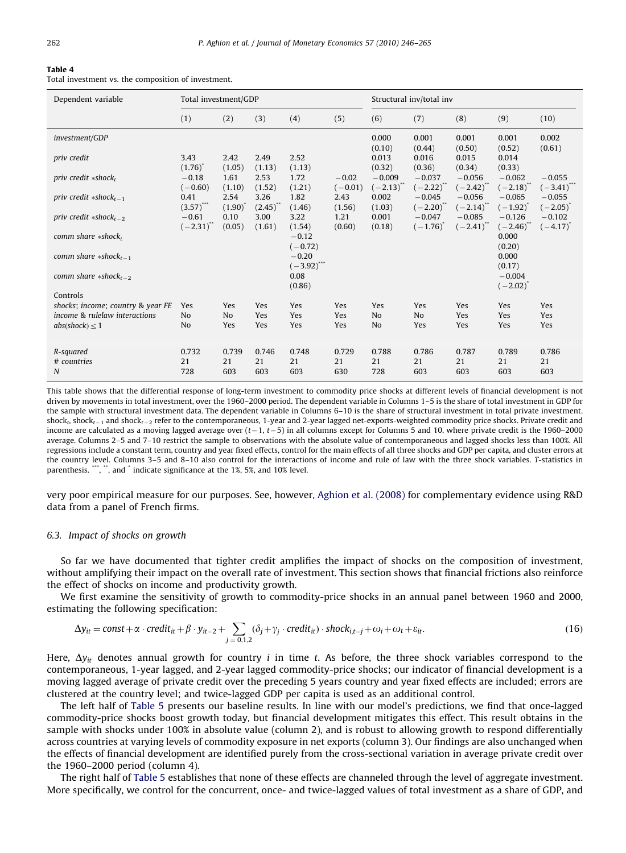Total investment vs. the composition of investment.

| Dependent variable                | Total investment/GDP        |                      |                                |                          | Structural inv/total inv |                            |                                 |                           |                           |                                  |
|-----------------------------------|-----------------------------|----------------------|--------------------------------|--------------------------|--------------------------|----------------------------|---------------------------------|---------------------------|---------------------------|----------------------------------|
|                                   | (1)                         | (2)                  | (3)                            | (4)                      | (5)                      | (6)                        | (7)                             | (8)                       | (9)                       | (10)                             |
| investment/GDP                    |                             |                      |                                |                          |                          | 0.000<br>(0.10)            | 0.001<br>(0.44)                 | 0.001<br>(0.50)           | 0.001<br>(0.52)           | 0.002<br>(0.61)                  |
| priv credit                       | 3.43<br>$(1.76)^{^{\circ}}$ | 2.42<br>(1.05)       | 2.49<br>(1.13)                 | 2.52<br>(1.13)           |                          | 0.013<br>(0.32)            | 0.016<br>(0.36)                 | 0.015<br>(0.34)           | 0.014<br>(0.33)           |                                  |
| priv credit $*shock_t$            | $-0.18$<br>$(-0.60)$        | 1.61<br>(1.10)       | 2.53<br>(1.52)                 | 1.72<br>(1.21)           | $-0.02$<br>$(-0.01)$     | $-0.009$<br>$(-2.13)^{**}$ | $-0.037$<br>$(-2.22)^{11}$      | $-0.056$<br>$(-2.42)^{4}$ | $-0.062$<br>$(-2.18)$ **  | $-0.055$<br>$(-3.41)^{^{\circ}}$ |
| priv credit *shock <sub>t-1</sub> | 0.41<br>$(3.57)$ ***        | 2.54<br>$(1.90)^{*}$ | 3.26<br>$(2.45)$ <sup>**</sup> | 1.82<br>(1.46)           | 2.43<br>(1.56)           | 0.002<br>(1.03)            | $-0.045$<br>$(-2.20)^{4}$       | $-0.056$<br>$(-2.14)^{4}$ | $-0.065$<br>$(-1.92)^{4}$ | $-0.055$<br>$(-2.05)^{^{\circ}}$ |
| priv credit *shock $_{t-2}$       | $-0.61$<br>$(-2.31)^{n}$    | 0.10<br>(0.05)       | 3.00<br>(1.61)                 | 3.22<br>(1.54)           | 1.21<br>(0.60)           | 0.001<br>(0.18)            | $-0.047$<br>$(-1.76)^{\degree}$ | $-0.085$<br>$(-2.41)^{4}$ | $-0.126$<br>$(-2.46)$     | $-0.102$<br>$(-4.17)^{^{\circ}}$ |
| comm share $*shock_t$             |                             |                      |                                | $-0.12$<br>$(-0.72)$     |                          |                            |                                 |                           | 0.000<br>(0.20)           |                                  |
| comm share $*shock_{t-1}$         |                             |                      |                                | $-0.20$<br>$(-3.92)$ *** |                          |                            |                                 |                           | 0.000<br>(0.17)           |                                  |
| comm share $*shock_{t-2}$         |                             |                      |                                | 0.08<br>(0.86)           |                          |                            |                                 |                           | $-0.004$<br>$(-2.02)^{4}$ |                                  |
| Controls                          |                             |                      |                                |                          |                          |                            |                                 |                           |                           |                                  |
| shocks; income; country & year FE | Yes                         | Yes                  | Yes                            | Yes                      | Yes                      | Yes                        | Yes                             | <b>Yes</b>                | Yes                       | Yes                              |
| income & rulelaw interactions     | N <sub>o</sub>              | N <sub>o</sub>       | Yes                            | Yes                      | Yes                      | N <sub>o</sub>             | N <sub>o</sub>                  | Yes                       | Yes                       | Yes                              |
| $abs(shock) \leq 1$               | N <sub>o</sub>              | Yes                  | Yes                            | Yes                      | Yes                      | N <sub>o</sub>             | Yes                             | Yes                       | Yes                       | Yes                              |
| R-squared<br># countries          | 0.732<br>21                 | 0.739<br>21          | 0.746<br>21                    | 0.748<br>21              | 0.729<br>21              | 0.788<br>21                | 0.786<br>21                     | 0.787<br>21               | 0.789<br>21               | 0.786<br>21                      |
| N                                 | 728                         | 603                  | 603                            | 603                      | 630                      | 728                        | 603                             | 603                       | 603                       | 603                              |

This table shows that the differential response of long-term investment to commodity price shocks at different levels of financial development is not driven by movements in total investment, over the 1960–2000 period. The dependent variable in Columns 1–5 is the share of total investment in GDP for the sample with structural investment data. The dependent variable in Columns 6–10 is the share of structural investment in total private investment.  ${\rm shock}_t$  shock $_{t-1}$  and shock $_{t-2}$  refer to the contemporaneous, 1-year and 2-year lagged net-exports-weighted commodity price shocks. Private credit and income are calculated as a moving lagged average over ( $t-1$ ,  $t-5$ ) in all columns except for Columns 5 and 10, where private credit is the 1960–2000 average. Columns 2–5 and 7–10 restrict the sample to observations with the absolute value of contemporaneous and lagged shocks less than 100%. All regressions include a constant term, country and year fixed effects, control for the main effects of all three shocks and GDP per capita, and cluster errors at the country level. Columns 3–5 and 8–10 also control for the interactions of income and rule of law with the three shock variables. T-statistics in parenthesis. "", ", and  $\degree$  indicate significance at the 1%, 5%, and 10% level.

very poor empirical measure for our purposes. See, however, [Aghion et al. \(2008\)](#page-18-0) for complementary evidence using R&D data from a panel of French firms.

#### 6.3. Impact of shocks on growth

So far we have documented that tighter credit amplifies the impact of shocks on the composition of investment, without amplifying their impact on the overall rate of investment. This section shows that financial frictions also reinforce the effect of shocks on income and productivity growth.

We first examine the sensitivity of growth to commodity-price shocks in an annual panel between 1960 and 2000, estimating the following specification:

$$
\Delta y_{it} = const + \alpha \cdot credit_{it} + \beta \cdot y_{it-2} + \sum_{j=0,1,2} (\delta_j + \gamma_j \cdot credit_{it}) \cdot shock_{i,t-j} + \omega_i + \omega_t + \varepsilon_{it}.
$$
\n(16)

Here,  $\Delta y_{it}$  denotes annual growth for country *i* in time *t*. As before, the three shock variables correspond to the contemporaneous, 1-year lagged, and 2-year lagged commodity-price shocks; our indicator of financial development is a moving lagged average of private credit over the preceding 5 years country and year fixed effects are included; errors are clustered at the country level; and twice-lagged GDP per capita is used as an additional control.

The left half of Table 5 presents our baseline results. In line with our model's predictions, we find that once-lagged commodity-price shocks boost growth today, but financial development mitigates this effect. This result obtains in the sample with shocks under 100% in absolute value (column 2), and is robust to allowing growth to respond differentially across countries at varying levels of commodity exposure in net exports (column 3). Our findings are also unchanged when the effects of financial development are identified purely from the cross-sectional variation in average private credit over the 1960–2000 period (column 4).

The right half of Table 5 establishes that none of these effects are channeled through the level of aggregate investment. More specifically, we control for the concurrent, once- and twice-lagged values of total investment as a share of GDP, and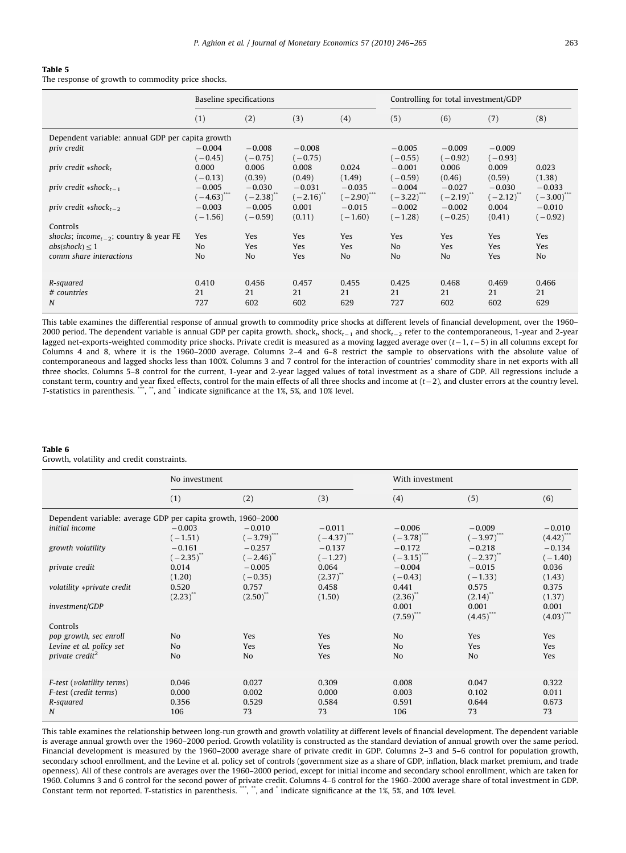The response of growth to commodity price shocks.

|                                                                                                                 | <b>Baseline specifications</b>     |                              |                              |                              | Controlling for total investment/GDP           |                                            |                              |                              |  |
|-----------------------------------------------------------------------------------------------------------------|------------------------------------|------------------------------|------------------------------|------------------------------|------------------------------------------------|--------------------------------------------|------------------------------|------------------------------|--|
|                                                                                                                 | (1)                                | (2)                          | (3)                          | (4)                          | (5)                                            | (6)                                        | (7)                          | (8)                          |  |
| Dependent variable: annual GDP per capita growth<br>priv credit                                                 | $-0.004$                           | $-0.008$                     | $-0.008$                     |                              | $-0.005$                                       | $-0.009$                                   | $-0.009$                     |                              |  |
| priv credit $*shock_t$                                                                                          | $(-0.45)$<br>0.000<br>$(-0.13)$    | $(-0.75)$<br>0.006<br>(0.39) | $(-0.75)$<br>0.008<br>(0.49) | 0.024<br>(1.49)              | $(-0.55)$<br>$-0.001$<br>$(-0.59)$             | $(-0.92)$<br>0.006<br>(0.46)               | $(-0.93)$<br>0.009<br>(0.59) | 0.023<br>(1.38)              |  |
| priv credit $*shock_{t-1}$                                                                                      | $-0.005$<br>$(-4.63)$ ***          | $-0.030$<br>$(-2.38)$        | $-0.031$<br>$(-2.16)^{4}$    | $-0.035$<br>$(-2.90)$        | $-0.004$<br>$(-3.22)$ ***                      | $-0.027$<br>$(-2.19)^{11}$                 | $-0.030$<br>$(-2.12)^{4}$    | $-0.033$<br>$(-3.00)^{**}$   |  |
| priv credit *shock <sub>t-2</sub>                                                                               | $-0.003$<br>$(-1.56)$              | $-0.005$<br>$(-0.59)$        | 0.001<br>(0.11)              | $-0.015$<br>$(-1.60)$        | $-0.002$<br>$(-1.28)$                          | $-0.002$<br>$(-0.25)$                      | 0.004<br>(0.41)              | $-0.010$<br>$(-0.92)$        |  |
| Controls<br>shocks; income <sub>t-2</sub> ; country & year FE<br>abs(shock) $\leq 1$<br>comm share interactions | <b>Yes</b><br>N <sub>0</sub><br>No | Yes<br><b>Yes</b><br>No      | Yes<br>Yes<br>Yes            | Yes<br>Yes<br>N <sub>o</sub> | <b>Yes</b><br>N <sub>0</sub><br>N <sub>o</sub> | <b>Yes</b><br><b>Yes</b><br>N <sub>o</sub> | Yes<br>Yes<br>Yes            | Yes<br>Yes<br>N <sub>o</sub> |  |
|                                                                                                                 |                                    |                              |                              |                              |                                                |                                            |                              |                              |  |
| R-squared<br># countries<br>N                                                                                   | 0.410<br>21<br>727                 | 0.456<br>21<br>602           | 0.457<br>21<br>602           | 0.455<br>21<br>629           | 0.425<br>21<br>727                             | 0.468<br>21<br>602                         | 0.469<br>21<br>602           | 0.466<br>21<br>629           |  |

This table examines the differential response of annual growth to commodity price shocks at different levels of financial development, over the 1960– 2000 period. The dependent variable is annual GDP per capita growth. shock<sub>t-3</sub> hock<sub>t-1</sub> and shock<sub>t-2</sub> refer to the contemporaneous, 1-year and 2-year lagged net-exports-weighted commodity price shocks. Private credit is measured as a moving lagged average over  $(t-1, t-5)$  in all columns except for Columns 4 and 8, where it is the 1960–2000 average. Columns 2–4 and 6–8 restrict the sample to observations with the absolute value of contemporaneous and lagged shocks less than 100%. Columns 3 and 7 control for the interaction of countries' commodity share in net exports with all three shocks. Columns 5–8 control for the current, 1-year and 2-year lagged values of total investment as a share of GDP. All regressions include a constant term, country and year fixed effects, control for the main effects of all three shocks and income at (t-2), and cluster errors at the country level. T-statistics in parenthesis. \*\*\*, \*\*, and \* indicate significance at the 1%, 5%, and 10% level.

#### Table 6

Growth, volatility and credit constraints.

|                                                                                       | No investment                                      |                                           |                                                   | With investment                                       |                                              |                                                  |  |  |
|---------------------------------------------------------------------------------------|----------------------------------------------------|-------------------------------------------|---------------------------------------------------|-------------------------------------------------------|----------------------------------------------|--------------------------------------------------|--|--|
|                                                                                       | (1)                                                | (2)                                       | (3)                                               | (4)                                                   | (5)                                          | (6)                                              |  |  |
| Dependent variable: average GDP per capita growth, 1960-2000<br>initial income        | $-0.003$                                           | $-0.010$                                  | $-0.011$                                          | $-0.006$                                              | $-0.009$                                     | $-0.010$                                         |  |  |
| growth volatility                                                                     | $(-1.51)$<br>$-0.161$<br>$(-2.35)^{4}$             | $(-3.79)$ ***<br>$-0.257$<br>$(-2.46)$ ** | $(-4.37)$ <sup>***</sup><br>$-0.137$<br>$(-1.27)$ | $(-3.78)$ <sup>***</sup><br>$-0.172$<br>$(-3.15)$ *** | $(-3.97)^{***}$<br>$-0.218$<br>$(-2.37)^{4}$ | $(4.42)$ <sup>***</sup><br>$-0.134$<br>$(-1.40)$ |  |  |
| private credit                                                                        | 0.014<br>(1.20)                                    | $-0.005$<br>$(-0.35)$                     | 0.064<br>$(2.37)$ <sup>**</sup>                   | $-0.004$<br>$(-0.43)$                                 | $-0.015$<br>$(-1.33)$                        | 0.036<br>(1.43)                                  |  |  |
| volatility *private credit                                                            | 0.520<br>$(2.23)$ <sup>**</sup>                    | 0.757<br>$(2.50)$ **                      | 0.458<br>(1.50)                                   | 0.441<br>$(2.36)$ <sup>**</sup>                       | 0.575<br>(2.14)                              | 0.375<br>(1.37)                                  |  |  |
| investment/GDP                                                                        |                                                    |                                           |                                                   | 0.001<br>$(7.59)$ <sup>***</sup>                      | 0.001<br>$(4.45)$ <sup>***</sup>             | 0.001<br>$(4.03)$ <sup>****</sup>                |  |  |
| Controls<br>pop growth, sec enroll<br>Levine et al. policy set<br>private credit $^2$ | N <sub>o</sub><br>N <sub>0</sub><br>N <sub>o</sub> | Yes<br>Yes<br>N <sub>o</sub>              | Yes<br>Yes<br>Yes                                 | N <sub>o</sub><br>N <sub>0</sub><br>N <sub>o</sub>    | Yes<br>Yes<br>N <sub>0</sub>                 | <b>Yes</b><br><b>Yes</b><br><b>Yes</b>           |  |  |
| F-test (volatility terms)<br>F-test (credit terms)<br>R-squared<br>N                  | 0.046<br>0.000<br>0.356<br>106                     | 0.027<br>0.002<br>0.529<br>73             | 0.309<br>0.000<br>0.584<br>73                     | 0.008<br>0.003<br>0.591<br>106                        | 0.047<br>0.102<br>0.644<br>73                | 0.322<br>0.011<br>0.673<br>73                    |  |  |

This table examines the relationship between long-run growth and growth volatility at different levels of financial development. The dependent variable is average annual growth over the 1960–2000 period. Growth volatility is constructed as the standard deviation of annual growth over the same period. Financial development is measured by the 1960–2000 average share of private credit in GDP. Columns 2–3 and 5–6 control for population growth, secondary school enrollment, and the Levine et al. policy set of controls (government size as a share of GDP, inflation, black market premium, and trade openness). All of these controls are averages over the 1960–2000 period, except for initial income and secondary school enrollment, which are taken for 1960. Columns 3 and 6 control for the second power of private credit. Columns 4–6 control for the 1960–2000 average share of total investment in GDP. Constant term not reported. T-statistics in parenthesis. \*\*\*, \*\*, and \* indicate significance at the 1%, 5%, and 10% level.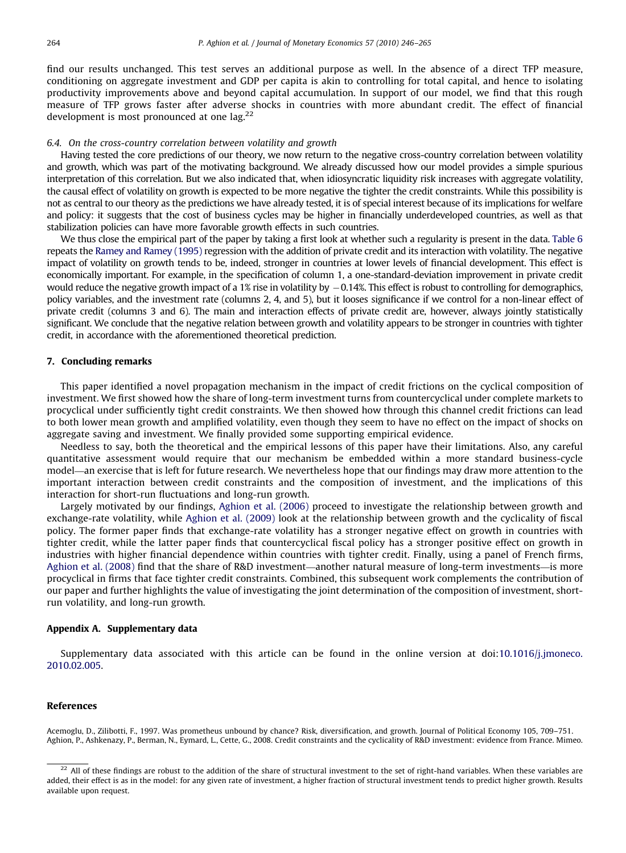<span id="page-18-0"></span>find our results unchanged. This test serves an additional purpose as well. In the absence of a direct TFP measure, conditioning on aggregate investment and GDP per capita is akin to controlling for total capital, and hence to isolating productivity improvements above and beyond capital accumulation. In support of our model, we find that this rough measure of TFP grows faster after adverse shocks in countries with more abundant credit. The effect of financial development is most pronounced at one lag.<sup>22</sup>

#### 6.4. On the cross-country correlation between volatility and growth

Having tested the core predictions of our theory, we now return to the negative cross-country correlation between volatility and growth, which was part of the motivating background. We already discussed how our model provides a simple spurious interpretation of this correlation. But we also indicated that, when idiosyncratic liquidity risk increases with aggregate volatility, the causal effect of volatility on growth is expected to be more negative the tighter the credit constraints. While this possibility is not as central to our theory as the predictions we have already tested, it is of special interest because of its implications for welfare and policy: it suggests that the cost of business cycles may be higher in financially underdeveloped countries, as well as that stabilization policies can have more favorable growth effects in such countries.

We thus close the empirical part of the paper by taking a first look at whether such a regularity is present in the data. Table 6 repeats the [Ramey and Ramey \(1995\)](#page-19-0) regression with the addition of private credit and its interaction with volatility. The negative impact of volatility on growth tends to be, indeed, stronger in countries at lower levels of financial development. This effect is economically important. For example, in the specification of column 1, a one-standard-deviation improvement in private credit would reduce the negative growth impact of a 1% rise in volatility by  $-0.14$ %. This effect is robust to controlling for demographics, policy variables, and the investment rate (columns 2, 4, and 5), but it looses significance if we control for a non-linear effect of private credit (columns 3 and 6). The main and interaction effects of private credit are, however, always jointly statistically significant. We conclude that the negative relation between growth and volatility appears to be stronger in countries with tighter credit, in accordance with the aforementioned theoretical prediction.

## 7. Concluding remarks

This paper identified a novel propagation mechanism in the impact of credit frictions on the cyclical composition of investment. We first showed how the share of long-term investment turns from countercyclical under complete markets to procyclical under sufficiently tight credit constraints. We then showed how through this channel credit frictions can lead to both lower mean growth and amplified volatility, even though they seem to have no effect on the impact of shocks on aggregate saving and investment. We finally provided some supporting empirical evidence.

Needless to say, both the theoretical and the empirical lessons of this paper have their limitations. Also, any careful quantitative assessment would require that our mechanism be embedded within a more standard business-cycle model—an exercise that is left for future research. We nevertheless hope that our findings may draw more attention to the important interaction between credit constraints and the composition of investment, and the implications of this interaction for short-run fluctuations and long-run growth.

Largely motivated by our findings, [Aghion et al. \(2006\)](#page-19-0) proceed to investigate the relationship between growth and exchange-rate volatility, while [Aghion et al. \(2009\)](#page-19-0) look at the relationship between growth and the cyclicality of fiscal policy. The former paper finds that exchange-rate volatility has a stronger negative effect on growth in countries with tighter credit, while the latter paper finds that countercyclical fiscal policy has a stronger positive effect on growth in industries with higher financial dependence within countries with tighter credit. Finally, using a panel of French firms, Aghion et al. (2008) find that the share of R&D investment—another natural measure of long-term investments—is more procyclical in firms that face tighter credit constraints. Combined, this subsequent work complements the contribution of our paper and further highlights the value of investigating the joint determination of the composition of investment, shortrun volatility, and long-run growth.

## Appendix A. Supplementary data

Supplementary data associated with this article can be found in the online version at doi[:10.1016/j.jmoneco.](10.1016/j.jmoneco.2010.02.005) [2010.02.005.](10.1016/j.jmoneco.2010.02.005)

## References

Acemoglu, D., Zilibotti, F., 1997. Was prometheus unbound by chance? Risk, diversification, and growth. Journal of Political Economy 105, 709–751. Aghion, P., Ashkenazy, P., Berman, N., Eymard, L., Cette, G., 2008. Credit constraints and the cyclicality of R&D investment: evidence from France. Mimeo.

 $22$  All of these findings are robust to the addition of the share of structural investment to the set of right-hand variables. When these variables are added, their effect is as in the model: for any given rate of investment, a higher fraction of structural investment tends to predict higher growth. Results available upon request.